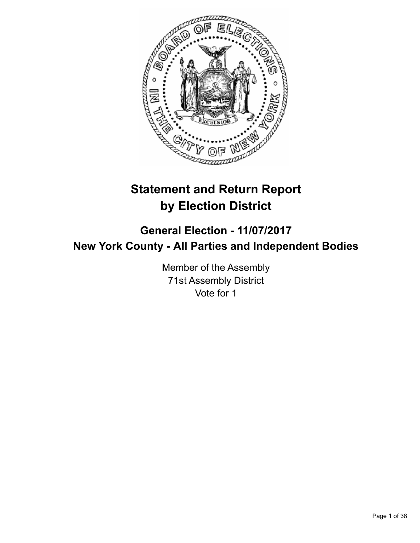

# **Statement and Return Report by Election District**

## **General Election - 11/07/2017 New York County - All Parties and Independent Bodies**

Member of the Assembly 71st Assembly District Vote for 1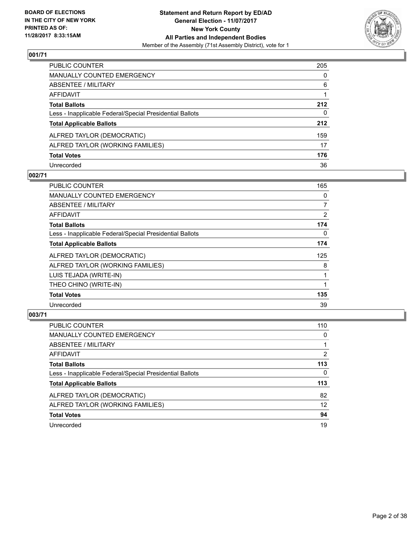

| <b>PUBLIC COUNTER</b>                                    | 205 |
|----------------------------------------------------------|-----|
| <b>MANUALLY COUNTED EMERGENCY</b>                        | 0   |
| ABSENTEE / MILITARY                                      | 6   |
| <b>AFFIDAVIT</b>                                         |     |
| <b>Total Ballots</b>                                     | 212 |
| Less - Inapplicable Federal/Special Presidential Ballots | 0   |
| <b>Total Applicable Ballots</b>                          | 212 |
| ALFRED TAYLOR (DEMOCRATIC)                               | 159 |
| ALFRED TAYLOR (WORKING FAMILIES)                         | 17  |
| <b>Total Votes</b>                                       | 176 |
| Unrecorded                                               | 36  |

#### **002/71**

| <b>PUBLIC COUNTER</b>                                    | 165            |
|----------------------------------------------------------|----------------|
| <b>MANUALLY COUNTED EMERGENCY</b>                        | 0              |
| <b>ABSENTEE / MILITARY</b>                               | 7              |
| AFFIDAVIT                                                | $\overline{2}$ |
| <b>Total Ballots</b>                                     | 174            |
| Less - Inapplicable Federal/Special Presidential Ballots | 0              |
| <b>Total Applicable Ballots</b>                          | 174            |
| ALFRED TAYLOR (DEMOCRATIC)                               | 125            |
| ALFRED TAYLOR (WORKING FAMILIES)                         | 8              |
| LUIS TEJADA (WRITE-IN)                                   |                |
| THEO CHINO (WRITE-IN)                                    |                |
| <b>Total Votes</b>                                       | 135            |
| Unrecorded                                               | 39             |

| <b>PUBLIC COUNTER</b>                                    | 110 |
|----------------------------------------------------------|-----|
| MANUALLY COUNTED EMERGENCY                               | 0   |
| ABSENTEE / MILITARY                                      |     |
| AFFIDAVIT                                                | 2   |
| <b>Total Ballots</b>                                     | 113 |
| Less - Inapplicable Federal/Special Presidential Ballots | 0   |
| <b>Total Applicable Ballots</b>                          | 113 |
| ALFRED TAYLOR (DEMOCRATIC)                               | 82  |
| ALFRED TAYLOR (WORKING FAMILIES)                         | 12  |
| <b>Total Votes</b>                                       | 94  |
| Unrecorded                                               | 19  |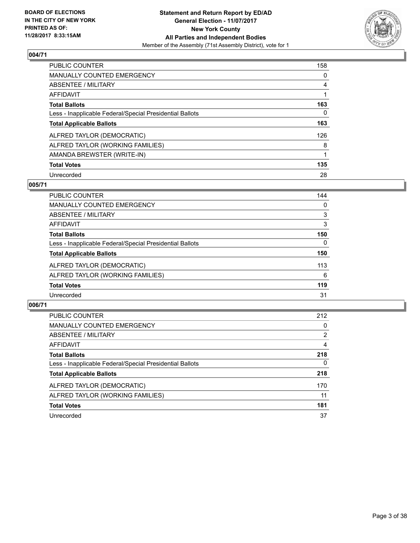

| <b>PUBLIC COUNTER</b>                                    | 158 |
|----------------------------------------------------------|-----|
| <b>MANUALLY COUNTED EMERGENCY</b>                        | 0   |
| ABSENTEE / MILITARY                                      | 4   |
| <b>AFFIDAVIT</b>                                         |     |
| <b>Total Ballots</b>                                     | 163 |
| Less - Inapplicable Federal/Special Presidential Ballots | 0   |
| <b>Total Applicable Ballots</b>                          | 163 |
| ALFRED TAYLOR (DEMOCRATIC)                               | 126 |
| ALFRED TAYLOR (WORKING FAMILIES)                         | 8   |
| AMANDA BREWSTER (WRITE-IN)                               |     |
| <b>Total Votes</b>                                       | 135 |
| Unrecorded                                               | 28  |

#### **005/71**

| <b>PUBLIC COUNTER</b>                                    | 144      |
|----------------------------------------------------------|----------|
| MANUALLY COUNTED EMERGENCY                               | 0        |
| ABSENTEE / MILITARY                                      | 3        |
| AFFIDAVIT                                                | 3        |
| <b>Total Ballots</b>                                     | 150      |
| Less - Inapplicable Federal/Special Presidential Ballots | $\Omega$ |
| <b>Total Applicable Ballots</b>                          | 150      |
| ALFRED TAYLOR (DEMOCRATIC)                               | 113      |
| ALFRED TAYLOR (WORKING FAMILIES)                         | 6        |
| <b>Total Votes</b>                                       | 119      |
| Unrecorded                                               | 31       |

| <b>PUBLIC COUNTER</b>                                    | 212            |
|----------------------------------------------------------|----------------|
| <b>MANUALLY COUNTED EMERGENCY</b>                        | 0              |
| ABSENTEE / MILITARY                                      | $\overline{2}$ |
| AFFIDAVIT                                                | 4              |
| <b>Total Ballots</b>                                     | 218            |
| Less - Inapplicable Federal/Special Presidential Ballots | 0              |
| <b>Total Applicable Ballots</b>                          | 218            |
| ALFRED TAYLOR (DEMOCRATIC)                               | 170            |
| ALFRED TAYLOR (WORKING FAMILIES)                         | 11             |
| <b>Total Votes</b>                                       | 181            |
| Unrecorded                                               | 37             |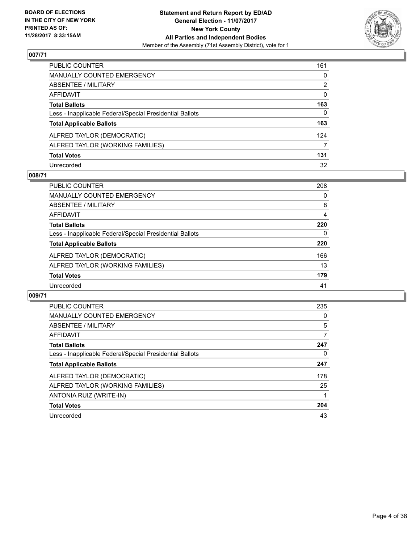

| PUBLIC COUNTER                                           | 161 |
|----------------------------------------------------------|-----|
| <b>MANUALLY COUNTED EMERGENCY</b>                        | 0   |
| <b>ABSENTEE / MILITARY</b>                               | 2   |
| <b>AFFIDAVIT</b>                                         | 0   |
| <b>Total Ballots</b>                                     | 163 |
| Less - Inapplicable Federal/Special Presidential Ballots | 0   |
| <b>Total Applicable Ballots</b>                          | 163 |
| ALFRED TAYLOR (DEMOCRATIC)                               | 124 |
| ALFRED TAYLOR (WORKING FAMILIES)                         | 7   |
| <b>Total Votes</b>                                       | 131 |
| Unrecorded                                               | 32  |

#### **008/71**

| PUBLIC COUNTER                                           | 208 |
|----------------------------------------------------------|-----|
| <b>MANUALLY COUNTED EMERGENCY</b>                        | 0   |
| ABSENTEE / MILITARY                                      | 8   |
| AFFIDAVIT                                                | 4   |
| <b>Total Ballots</b>                                     | 220 |
| Less - Inapplicable Federal/Special Presidential Ballots | 0   |
| <b>Total Applicable Ballots</b>                          | 220 |
| ALFRED TAYLOR (DEMOCRATIC)                               | 166 |
| ALFRED TAYLOR (WORKING FAMILIES)                         | 13  |
| <b>Total Votes</b>                                       | 179 |
| Unrecorded                                               | 41  |

| <b>PUBLIC COUNTER</b>                                    | 235 |
|----------------------------------------------------------|-----|
| <b>MANUALLY COUNTED EMERGENCY</b>                        | 0   |
| ABSENTEE / MILITARY                                      | 5   |
| <b>AFFIDAVIT</b>                                         | 7   |
| <b>Total Ballots</b>                                     | 247 |
| Less - Inapplicable Federal/Special Presidential Ballots | 0   |
| <b>Total Applicable Ballots</b>                          | 247 |
| ALFRED TAYLOR (DEMOCRATIC)                               | 178 |
| ALFRED TAYLOR (WORKING FAMILIES)                         | 25  |
| ANTONIA RUIZ (WRITE-IN)                                  |     |
| <b>Total Votes</b>                                       | 204 |
| Unrecorded                                               | 43  |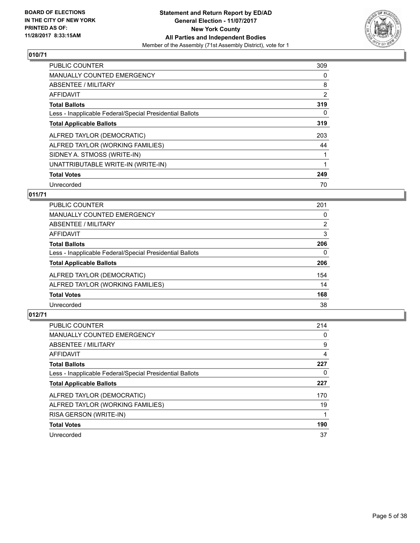

| <b>PUBLIC COUNTER</b>                                    | 309            |
|----------------------------------------------------------|----------------|
| <b>MANUALLY COUNTED EMERGENCY</b>                        | 0              |
| ABSENTEE / MILITARY                                      | 8              |
| <b>AFFIDAVIT</b>                                         | $\overline{2}$ |
| <b>Total Ballots</b>                                     | 319            |
| Less - Inapplicable Federal/Special Presidential Ballots | 0              |
| <b>Total Applicable Ballots</b>                          | 319            |
| ALFRED TAYLOR (DEMOCRATIC)                               | 203            |
| ALFRED TAYLOR (WORKING FAMILIES)                         | 44             |
| SIDNEY A. STMOSS (WRITE-IN)                              |                |
| UNATTRIBUTABLE WRITE-IN (WRITE-IN)                       |                |
| <b>Total Votes</b>                                       | 249            |
| Unrecorded                                               | 70             |

## **011/71**

| 201 |
|-----|
| 0   |
| 2   |
| 3   |
| 206 |
| 0   |
| 206 |
| 154 |
| 14  |
| 168 |
| 38  |
|     |

| <b>PUBLIC COUNTER</b>                                    | 214 |
|----------------------------------------------------------|-----|
| <b>MANUALLY COUNTED EMERGENCY</b>                        | 0   |
| ABSENTEE / MILITARY                                      | 9   |
| <b>AFFIDAVIT</b>                                         | 4   |
| <b>Total Ballots</b>                                     | 227 |
| Less - Inapplicable Federal/Special Presidential Ballots | 0   |
| <b>Total Applicable Ballots</b>                          | 227 |
| ALFRED TAYLOR (DEMOCRATIC)                               | 170 |
| ALFRED TAYLOR (WORKING FAMILIES)                         | 19  |
| RISA GERSON (WRITE-IN)                                   |     |
| <b>Total Votes</b>                                       | 190 |
| Unrecorded                                               | 37  |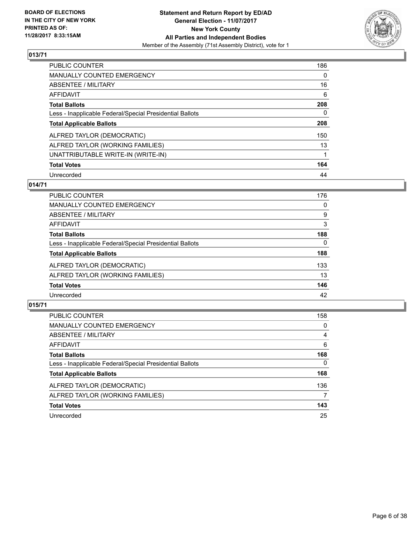

| <b>PUBLIC COUNTER</b>                                    | 186      |
|----------------------------------------------------------|----------|
| <b>MANUALLY COUNTED EMERGENCY</b>                        | $\Omega$ |
| ABSENTEE / MILITARY                                      | 16       |
| AFFIDAVIT                                                | 6        |
| <b>Total Ballots</b>                                     | 208      |
| Less - Inapplicable Federal/Special Presidential Ballots | 0        |
| <b>Total Applicable Ballots</b>                          | 208      |
| ALFRED TAYLOR (DEMOCRATIC)                               | 150      |
| ALFRED TAYLOR (WORKING FAMILIES)                         | 13       |
| UNATTRIBUTABLE WRITE-IN (WRITE-IN)                       |          |
| <b>Total Votes</b>                                       | 164      |
| Unrecorded                                               | 44       |

#### **014/71**

| PUBLIC COUNTER                                           | 176 |
|----------------------------------------------------------|-----|
| <b>MANUALLY COUNTED EMERGENCY</b>                        | 0   |
| ABSENTEE / MILITARY                                      | 9   |
| AFFIDAVIT                                                | 3   |
| <b>Total Ballots</b>                                     | 188 |
| Less - Inapplicable Federal/Special Presidential Ballots | 0   |
| <b>Total Applicable Ballots</b>                          | 188 |
| ALFRED TAYLOR (DEMOCRATIC)                               | 133 |
| ALFRED TAYLOR (WORKING FAMILIES)                         | 13  |
| <b>Total Votes</b>                                       | 146 |
| Unrecorded                                               | 42  |

| <b>PUBLIC COUNTER</b>                                    | 158          |
|----------------------------------------------------------|--------------|
| MANUALLY COUNTED EMERGENCY                               | 0            |
| ABSENTEE / MILITARY                                      | 4            |
| AFFIDAVIT                                                | 6            |
| <b>Total Ballots</b>                                     | 168          |
| Less - Inapplicable Federal/Special Presidential Ballots | $\mathbf{0}$ |
| <b>Total Applicable Ballots</b>                          | 168          |
| ALFRED TAYLOR (DEMOCRATIC)                               | 136          |
| ALFRED TAYLOR (WORKING FAMILIES)                         | 7            |
| <b>Total Votes</b>                                       | 143          |
| Unrecorded                                               | 25           |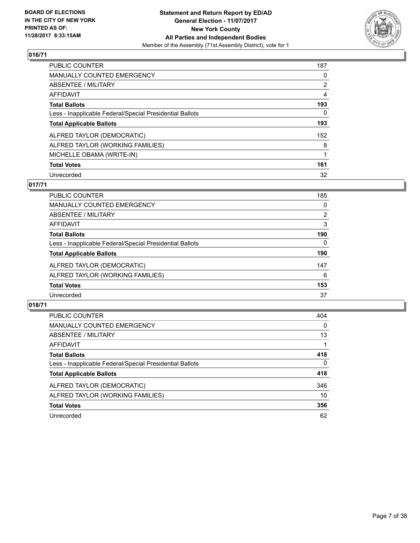

| PUBLIC COUNTER                                           | 187            |
|----------------------------------------------------------|----------------|
| <b>MANUALLY COUNTED EMERGENCY</b>                        | 0              |
| ABSENTEE / MILITARY                                      | $\overline{2}$ |
| AFFIDAVIT                                                | 4              |
| <b>Total Ballots</b>                                     | 193            |
| Less - Inapplicable Federal/Special Presidential Ballots | 0              |
| <b>Total Applicable Ballots</b>                          | 193            |
| ALFRED TAYLOR (DEMOCRATIC)                               | 152            |
| ALFRED TAYLOR (WORKING FAMILIES)                         | 8              |
| MICHELLE OBAMA (WRITE-IN)                                |                |
| <b>Total Votes</b>                                       | 161            |
| Unrecorded                                               | 32             |

#### **017/71**

| PUBLIC COUNTER                                           | 185      |
|----------------------------------------------------------|----------|
| <b>MANUALLY COUNTED EMERGENCY</b>                        | 0        |
| ABSENTEE / MILITARY                                      | 2        |
| AFFIDAVIT                                                | 3        |
| <b>Total Ballots</b>                                     | 190      |
| Less - Inapplicable Federal/Special Presidential Ballots | $\Omega$ |
| <b>Total Applicable Ballots</b>                          | 190      |
| ALFRED TAYLOR (DEMOCRATIC)                               | 147      |
| ALFRED TAYLOR (WORKING FAMILIES)                         | 6        |
| <b>Total Votes</b>                                       | 153      |
| Unrecorded                                               | 37       |

| <b>PUBLIC COUNTER</b>                                    | 404          |
|----------------------------------------------------------|--------------|
| <b>MANUALLY COUNTED EMERGENCY</b>                        | 0            |
| ABSENTEE / MILITARY                                      | 13           |
| AFFIDAVIT                                                |              |
| <b>Total Ballots</b>                                     | 418          |
| Less - Inapplicable Federal/Special Presidential Ballots | $\mathbf{0}$ |
| <b>Total Applicable Ballots</b>                          | 418          |
| ALFRED TAYLOR (DEMOCRATIC)                               | 346          |
| ALFRED TAYLOR (WORKING FAMILIES)                         | 10           |
| <b>Total Votes</b>                                       | 356          |
| Unrecorded                                               | 62           |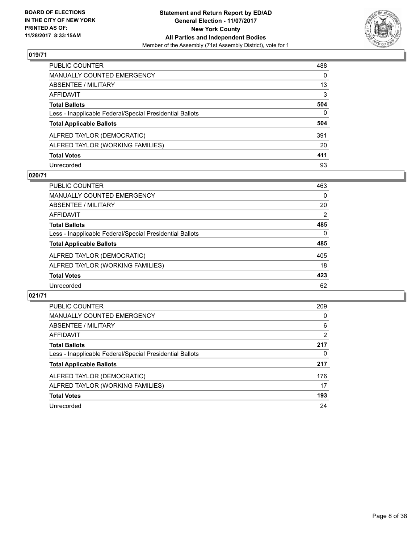

| PUBLIC COUNTER                                           | 488          |
|----------------------------------------------------------|--------------|
| <b>MANUALLY COUNTED EMERGENCY</b>                        | $\mathbf{0}$ |
| ABSENTEE / MILITARY                                      | 13           |
| AFFIDAVIT                                                | 3            |
| <b>Total Ballots</b>                                     | 504          |
| Less - Inapplicable Federal/Special Presidential Ballots | $\Omega$     |
| <b>Total Applicable Ballots</b>                          | 504          |
| ALFRED TAYLOR (DEMOCRATIC)                               | 391          |
| ALFRED TAYLOR (WORKING FAMILIES)                         | 20           |
| <b>Total Votes</b>                                       | 411          |
| Unrecorded                                               | 93           |

#### **020/71**

| <b>PUBLIC COUNTER</b>                                    | 463      |
|----------------------------------------------------------|----------|
| <b>MANUALLY COUNTED EMERGENCY</b>                        | 0        |
| ABSENTEE / MILITARY                                      | 20       |
| AFFIDAVIT                                                | 2        |
| <b>Total Ballots</b>                                     | 485      |
| Less - Inapplicable Federal/Special Presidential Ballots | $\Omega$ |
| <b>Total Applicable Ballots</b>                          | 485      |
| ALFRED TAYLOR (DEMOCRATIC)                               | 405      |
| ALFRED TAYLOR (WORKING FAMILIES)                         | 18       |
| <b>Total Votes</b>                                       | 423      |
| Unrecorded                                               | 62       |

| <b>PUBLIC COUNTER</b>                                    | 209 |
|----------------------------------------------------------|-----|
| <b>MANUALLY COUNTED EMERGENCY</b>                        | 0   |
| ABSENTEE / MILITARY                                      | 6   |
| <b>AFFIDAVIT</b>                                         | 2   |
| <b>Total Ballots</b>                                     | 217 |
| Less - Inapplicable Federal/Special Presidential Ballots | 0   |
| <b>Total Applicable Ballots</b>                          | 217 |
| ALFRED TAYLOR (DEMOCRATIC)                               | 176 |
| ALFRED TAYLOR (WORKING FAMILIES)                         | 17  |
| <b>Total Votes</b>                                       | 193 |
| Unrecorded                                               | 24  |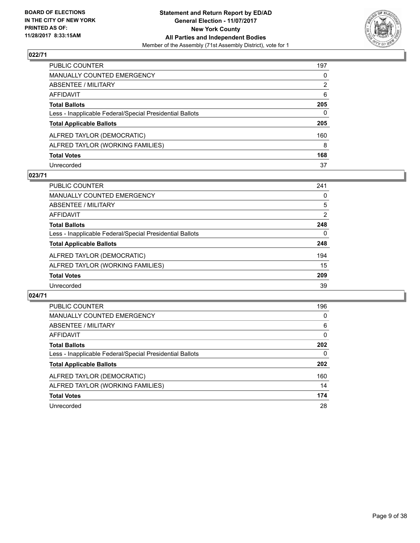

| PUBLIC COUNTER                                           | 197 |
|----------------------------------------------------------|-----|
| <b>MANUALLY COUNTED EMERGENCY</b>                        | 0   |
| <b>ABSENTEE / MILITARY</b>                               | 2   |
| <b>AFFIDAVIT</b>                                         | 6   |
| <b>Total Ballots</b>                                     | 205 |
| Less - Inapplicable Federal/Special Presidential Ballots | 0   |
| <b>Total Applicable Ballots</b>                          | 205 |
| ALFRED TAYLOR (DEMOCRATIC)                               | 160 |
| ALFRED TAYLOR (WORKING FAMILIES)                         | 8   |
| <b>Total Votes</b>                                       | 168 |
| Unrecorded                                               | 37  |

#### **023/71**

| <b>PUBLIC COUNTER</b>                                    | 241 |
|----------------------------------------------------------|-----|
| MANUALLY COUNTED EMERGENCY                               | 0   |
| ABSENTEE / MILITARY                                      | 5   |
| AFFIDAVIT                                                | 2   |
| <b>Total Ballots</b>                                     | 248 |
| Less - Inapplicable Federal/Special Presidential Ballots | 0   |
| <b>Total Applicable Ballots</b>                          | 248 |
| ALFRED TAYLOR (DEMOCRATIC)                               | 194 |
| ALFRED TAYLOR (WORKING FAMILIES)                         | 15  |
| <b>Total Votes</b>                                       | 209 |
| Unrecorded                                               | 39  |

| <b>PUBLIC COUNTER</b>                                    | 196 |
|----------------------------------------------------------|-----|
| <b>MANUALLY COUNTED EMERGENCY</b>                        | 0   |
| ABSENTEE / MILITARY                                      | 6   |
| <b>AFFIDAVIT</b>                                         | 0   |
| <b>Total Ballots</b>                                     | 202 |
| Less - Inapplicable Federal/Special Presidential Ballots | 0   |
| <b>Total Applicable Ballots</b>                          | 202 |
| ALFRED TAYLOR (DEMOCRATIC)                               | 160 |
| ALFRED TAYLOR (WORKING FAMILIES)                         | 14  |
| <b>Total Votes</b>                                       | 174 |
| Unrecorded                                               | 28  |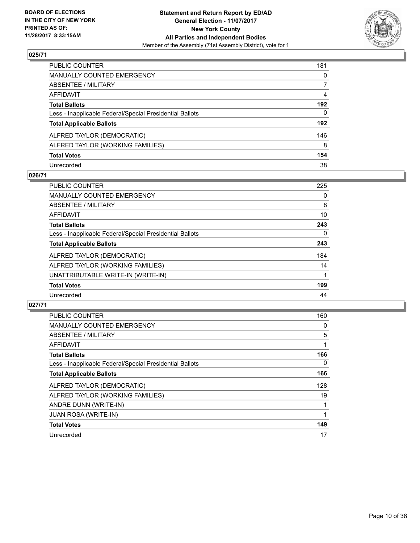

| PUBLIC COUNTER                                           | 181          |
|----------------------------------------------------------|--------------|
| <b>MANUALLY COUNTED EMERGENCY</b>                        | $\mathbf{0}$ |
| <b>ABSENTEE / MILITARY</b>                               | 7            |
| <b>AFFIDAVIT</b>                                         | 4            |
| <b>Total Ballots</b>                                     | 192          |
| Less - Inapplicable Federal/Special Presidential Ballots | $\mathbf{0}$ |
| <b>Total Applicable Ballots</b>                          | 192          |
| ALFRED TAYLOR (DEMOCRATIC)                               | 146          |
| ALFRED TAYLOR (WORKING FAMILIES)                         | 8            |
| <b>Total Votes</b>                                       | 154          |
| Unrecorded                                               | 38           |

#### **026/71**

| <b>PUBLIC COUNTER</b>                                    | 225 |
|----------------------------------------------------------|-----|
| <b>MANUALLY COUNTED EMERGENCY</b>                        | 0   |
| ABSENTEE / MILITARY                                      | 8   |
| AFFIDAVIT                                                | 10  |
| <b>Total Ballots</b>                                     | 243 |
| Less - Inapplicable Federal/Special Presidential Ballots | 0   |
| <b>Total Applicable Ballots</b>                          | 243 |
| ALFRED TAYLOR (DEMOCRATIC)                               | 184 |
| ALFRED TAYLOR (WORKING FAMILIES)                         | 14  |
| UNATTRIBUTABLE WRITE-IN (WRITE-IN)                       |     |
| <b>Total Votes</b>                                       | 199 |
| Unrecorded                                               | 44  |

| <b>PUBLIC COUNTER</b>                                    | 160 |
|----------------------------------------------------------|-----|
| <b>MANUALLY COUNTED EMERGENCY</b>                        | 0   |
| ABSENTEE / MILITARY                                      | 5   |
| <b>AFFIDAVIT</b>                                         |     |
| <b>Total Ballots</b>                                     | 166 |
| Less - Inapplicable Federal/Special Presidential Ballots | 0   |
| <b>Total Applicable Ballots</b>                          | 166 |
| ALFRED TAYLOR (DEMOCRATIC)                               | 128 |
| ALFRED TAYLOR (WORKING FAMILIES)                         | 19  |
| ANDRE DUNN (WRITE-IN)                                    |     |
| <b>JUAN ROSA (WRITE-IN)</b>                              |     |
| <b>Total Votes</b>                                       | 149 |
| Unrecorded                                               | 17  |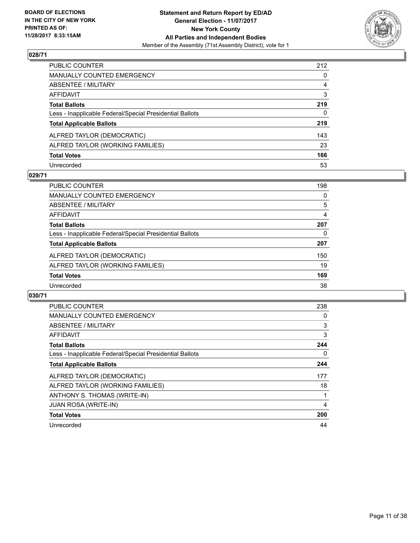

| PUBLIC COUNTER                                           | 212 |
|----------------------------------------------------------|-----|
| <b>MANUALLY COUNTED EMERGENCY</b>                        | 0   |
| <b>ABSENTEE / MILITARY</b>                               | 4   |
| AFFIDAVIT                                                | 3   |
| <b>Total Ballots</b>                                     | 219 |
| Less - Inapplicable Federal/Special Presidential Ballots | 0   |
| <b>Total Applicable Ballots</b>                          | 219 |
| ALFRED TAYLOR (DEMOCRATIC)                               | 143 |
| ALFRED TAYLOR (WORKING FAMILIES)                         | 23  |
| <b>Total Votes</b>                                       | 166 |
| Unrecorded                                               | 53  |

#### **029/71**

| PUBLIC COUNTER                                           | 198 |
|----------------------------------------------------------|-----|
| <b>MANUALLY COUNTED EMERGENCY</b>                        | 0   |
| ABSENTEE / MILITARY                                      | 5   |
| AFFIDAVIT                                                | 4   |
| <b>Total Ballots</b>                                     | 207 |
| Less - Inapplicable Federal/Special Presidential Ballots | 0   |
| <b>Total Applicable Ballots</b>                          | 207 |
| ALFRED TAYLOR (DEMOCRATIC)                               | 150 |
| ALFRED TAYLOR (WORKING FAMILIES)                         | 19  |
| <b>Total Votes</b>                                       | 169 |
| Unrecorded                                               | 38  |

| <b>PUBLIC COUNTER</b>                                    | 238 |
|----------------------------------------------------------|-----|
| <b>MANUALLY COUNTED EMERGENCY</b>                        | 0   |
| ABSENTEE / MILITARY                                      | 3   |
| <b>AFFIDAVIT</b>                                         | 3   |
| <b>Total Ballots</b>                                     | 244 |
| Less - Inapplicable Federal/Special Presidential Ballots | 0   |
| <b>Total Applicable Ballots</b>                          | 244 |
| ALFRED TAYLOR (DEMOCRATIC)                               | 177 |
| ALFRED TAYLOR (WORKING FAMILIES)                         | 18  |
| ANTHONY S. THOMAS (WRITE-IN)                             |     |
| <b>JUAN ROSA (WRITE-IN)</b>                              | 4   |
| <b>Total Votes</b>                                       | 200 |
| Unrecorded                                               | 44  |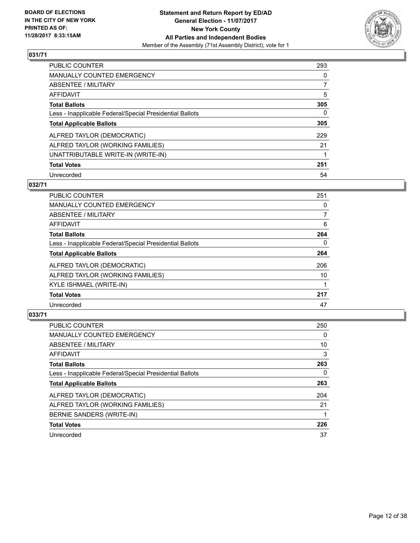

| PUBLIC COUNTER                                           | 293 |
|----------------------------------------------------------|-----|
| <b>MANUALLY COUNTED EMERGENCY</b>                        | 0   |
| ABSENTEE / MILITARY                                      | 7   |
| AFFIDAVIT                                                | 5   |
| <b>Total Ballots</b>                                     | 305 |
| Less - Inapplicable Federal/Special Presidential Ballots | 0   |
| <b>Total Applicable Ballots</b>                          | 305 |
| ALFRED TAYLOR (DEMOCRATIC)                               | 229 |
| ALFRED TAYLOR (WORKING FAMILIES)                         | 21  |
| UNATTRIBUTABLE WRITE-IN (WRITE-IN)                       |     |
| <b>Total Votes</b>                                       | 251 |
| Unrecorded                                               | 54  |

#### **032/71**

| <b>PUBLIC COUNTER</b>                                    | 251      |
|----------------------------------------------------------|----------|
| <b>MANUALLY COUNTED EMERGENCY</b>                        | 0        |
| ABSENTEE / MILITARY                                      | 7        |
| <b>AFFIDAVIT</b>                                         | 6        |
| <b>Total Ballots</b>                                     | 264      |
| Less - Inapplicable Federal/Special Presidential Ballots | $\Omega$ |
| <b>Total Applicable Ballots</b>                          | 264      |
| ALFRED TAYLOR (DEMOCRATIC)                               | 206      |
| ALFRED TAYLOR (WORKING FAMILIES)                         | 10       |
| KYLE ISHMAEL (WRITE-IN)                                  |          |
| <b>Total Votes</b>                                       | 217      |
| Unrecorded                                               | 47       |

| <b>PUBLIC COUNTER</b>                                    | 250 |
|----------------------------------------------------------|-----|
| <b>MANUALLY COUNTED EMERGENCY</b>                        | 0   |
| ABSENTEE / MILITARY                                      | 10  |
| AFFIDAVIT                                                | 3   |
| <b>Total Ballots</b>                                     | 263 |
| Less - Inapplicable Federal/Special Presidential Ballots | 0   |
| <b>Total Applicable Ballots</b>                          | 263 |
| ALFRED TAYLOR (DEMOCRATIC)                               | 204 |
| ALFRED TAYLOR (WORKING FAMILIES)                         | 21  |
| BERNIE SANDERS (WRITE-IN)                                |     |
| <b>Total Votes</b>                                       | 226 |
| Unrecorded                                               | 37  |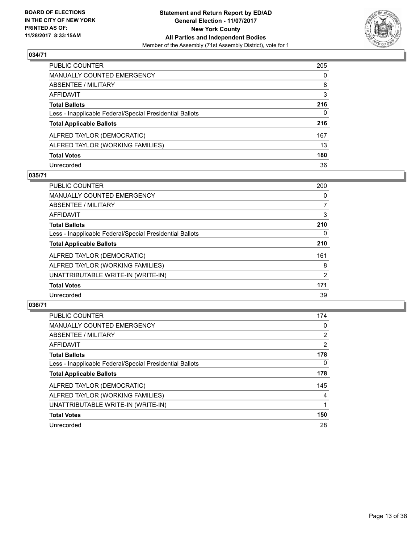

| PUBLIC COUNTER                                           | 205      |
|----------------------------------------------------------|----------|
| <b>MANUALLY COUNTED EMERGENCY</b>                        | $\Omega$ |
| <b>ABSENTEE / MILITARY</b>                               | 8        |
| <b>AFFIDAVIT</b>                                         | 3        |
| <b>Total Ballots</b>                                     | 216      |
| Less - Inapplicable Federal/Special Presidential Ballots | 0        |
| <b>Total Applicable Ballots</b>                          | 216      |
| ALFRED TAYLOR (DEMOCRATIC)                               | 167      |
| ALFRED TAYLOR (WORKING FAMILIES)                         | 13       |
| <b>Total Votes</b>                                       | 180      |
| Unrecorded                                               | 36       |

#### **035/71**

| <b>PUBLIC COUNTER</b>                                    | 200 |
|----------------------------------------------------------|-----|
| <b>MANUALLY COUNTED EMERGENCY</b>                        | 0   |
| ABSENTEE / MILITARY                                      | 7   |
| AFFIDAVIT                                                | 3   |
| <b>Total Ballots</b>                                     | 210 |
| Less - Inapplicable Federal/Special Presidential Ballots | 0   |
| <b>Total Applicable Ballots</b>                          | 210 |
| ALFRED TAYLOR (DEMOCRATIC)                               | 161 |
| ALFRED TAYLOR (WORKING FAMILIES)                         | 8   |
| UNATTRIBUTABLE WRITE-IN (WRITE-IN)                       | 2   |
| <b>Total Votes</b>                                       | 171 |
| Unrecorded                                               | 39  |

| <b>PUBLIC COUNTER</b>                                    | 174            |
|----------------------------------------------------------|----------------|
| <b>MANUALLY COUNTED EMERGENCY</b>                        | 0              |
| ABSENTEE / MILITARY                                      | $\overline{2}$ |
| AFFIDAVIT                                                | 2              |
| <b>Total Ballots</b>                                     | 178            |
| Less - Inapplicable Federal/Special Presidential Ballots | 0              |
| <b>Total Applicable Ballots</b>                          | 178            |
| ALFRED TAYLOR (DEMOCRATIC)                               | 145            |
| ALFRED TAYLOR (WORKING FAMILIES)                         | 4              |
| UNATTRIBUTABLE WRITE-IN (WRITE-IN)                       |                |
| <b>Total Votes</b>                                       | 150            |
| Unrecorded                                               | 28             |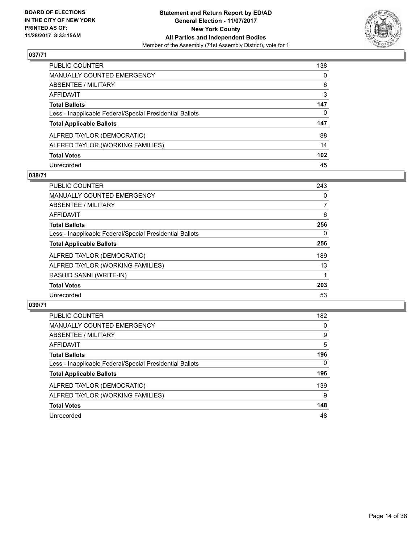

| PUBLIC COUNTER                                           | 138              |
|----------------------------------------------------------|------------------|
| <b>MANUALLY COUNTED EMERGENCY</b>                        | $\Omega$         |
| <b>ABSENTEE / MILITARY</b>                               | 6                |
| <b>AFFIDAVIT</b>                                         | 3                |
| <b>Total Ballots</b>                                     | 147              |
| Less - Inapplicable Federal/Special Presidential Ballots | 0                |
| <b>Total Applicable Ballots</b>                          | 147              |
| ALFRED TAYLOR (DEMOCRATIC)                               | 88               |
| ALFRED TAYLOR (WORKING FAMILIES)                         | 14               |
| <b>Total Votes</b>                                       | 102 <sub>2</sub> |
| Unrecorded                                               | 45               |

#### **038/71**

| <b>PUBLIC COUNTER</b>                                    | 243 |
|----------------------------------------------------------|-----|
| <b>MANUALLY COUNTED EMERGENCY</b>                        | 0   |
| ABSENTEE / MILITARY                                      | 7   |
| <b>AFFIDAVIT</b>                                         | 6   |
| <b>Total Ballots</b>                                     | 256 |
| Less - Inapplicable Federal/Special Presidential Ballots | 0   |
| <b>Total Applicable Ballots</b>                          | 256 |
| ALFRED TAYLOR (DEMOCRATIC)                               | 189 |
| ALFRED TAYLOR (WORKING FAMILIES)                         | 13  |
| RASHID SANNI (WRITE-IN)                                  |     |
| <b>Total Votes</b>                                       | 203 |
| Unrecorded                                               | 53  |

| <b>PUBLIC COUNTER</b>                                    | 182      |
|----------------------------------------------------------|----------|
| MANUALLY COUNTED EMERGENCY                               | 0        |
| ABSENTEE / MILITARY                                      | 9        |
| AFFIDAVIT                                                | 5        |
| <b>Total Ballots</b>                                     | 196      |
| Less - Inapplicable Federal/Special Presidential Ballots | $\Omega$ |
| <b>Total Applicable Ballots</b>                          | 196      |
| ALFRED TAYLOR (DEMOCRATIC)                               | 139      |
| ALFRED TAYLOR (WORKING FAMILIES)                         | 9        |
| <b>Total Votes</b>                                       | 148      |
| Unrecorded                                               | 48       |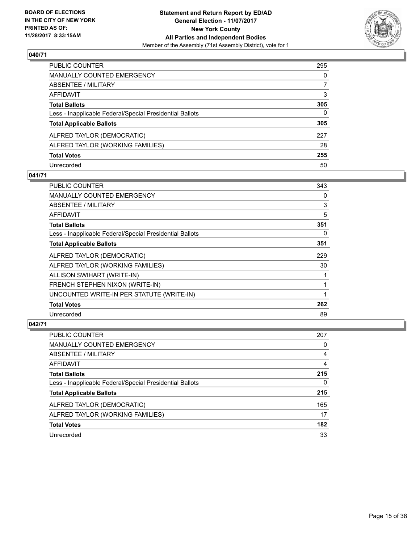

| PUBLIC COUNTER                                           | 295 |
|----------------------------------------------------------|-----|
| MANUALLY COUNTED EMERGENCY                               | 0   |
| <b>ABSENTEE / MILITARY</b>                               | 7   |
| AFFIDAVIT                                                | 3   |
| <b>Total Ballots</b>                                     | 305 |
| Less - Inapplicable Federal/Special Presidential Ballots | 0   |
| <b>Total Applicable Ballots</b>                          | 305 |
| ALFRED TAYLOR (DEMOCRATIC)                               | 227 |
| ALFRED TAYLOR (WORKING FAMILIES)                         | 28  |
| <b>Total Votes</b>                                       | 255 |
| Unrecorded                                               | 50  |

#### **041/71**

| <b>PUBLIC COUNTER</b>                                    | 343 |
|----------------------------------------------------------|-----|
| <b>MANUALLY COUNTED EMERGENCY</b>                        | 0   |
| <b>ABSENTEE / MILITARY</b>                               | 3   |
| <b>AFFIDAVIT</b>                                         | 5   |
| <b>Total Ballots</b>                                     | 351 |
| Less - Inapplicable Federal/Special Presidential Ballots | 0   |
| <b>Total Applicable Ballots</b>                          | 351 |
| ALFRED TAYLOR (DEMOCRATIC)                               | 229 |
| ALFRED TAYLOR (WORKING FAMILIES)                         | 30  |
| ALLISON SWIHART (WRITE-IN)                               |     |
| <b>FRENCH STEPHEN NIXON (WRITE-IN)</b>                   |     |
| UNCOUNTED WRITE-IN PER STATUTE (WRITE-IN)                |     |
| <b>Total Votes</b>                                       | 262 |
| Unrecorded                                               | 89  |

| <b>PUBLIC COUNTER</b>                                    | 207 |
|----------------------------------------------------------|-----|
| <b>MANUALLY COUNTED EMERGENCY</b>                        | 0   |
| ABSENTEE / MILITARY                                      | 4   |
| AFFIDAVIT                                                | 4   |
| <b>Total Ballots</b>                                     | 215 |
| Less - Inapplicable Federal/Special Presidential Ballots | 0   |
| <b>Total Applicable Ballots</b>                          | 215 |
| ALFRED TAYLOR (DEMOCRATIC)                               | 165 |
| ALFRED TAYLOR (WORKING FAMILIES)                         | 17  |
| <b>Total Votes</b>                                       | 182 |
| Unrecorded                                               | 33  |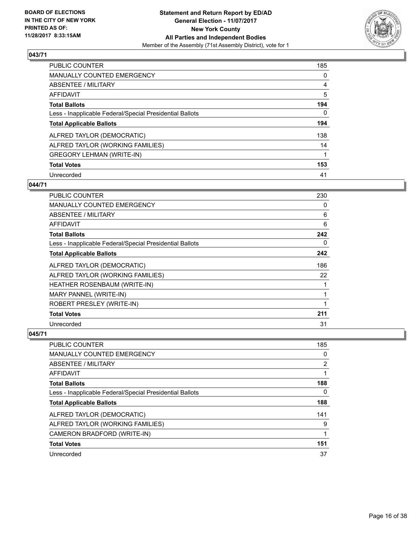

| <b>PUBLIC COUNTER</b>                                    | 185 |
|----------------------------------------------------------|-----|
| <b>MANUALLY COUNTED EMERGENCY</b>                        | 0   |
| ABSENTEE / MILITARY                                      | 4   |
| AFFIDAVIT                                                | 5   |
| <b>Total Ballots</b>                                     | 194 |
| Less - Inapplicable Federal/Special Presidential Ballots | 0   |
| <b>Total Applicable Ballots</b>                          | 194 |
| ALFRED TAYLOR (DEMOCRATIC)                               | 138 |
| ALFRED TAYLOR (WORKING FAMILIES)                         | 14  |
| <b>GREGORY LEHMAN (WRITE-IN)</b>                         |     |
| <b>Total Votes</b>                                       | 153 |
| Unrecorded                                               | 41  |

#### **044/71**

| PUBLIC COUNTER                                           | 230 |
|----------------------------------------------------------|-----|
| <b>MANUALLY COUNTED EMERGENCY</b>                        | 0   |
| ABSENTEE / MILITARY                                      | 6   |
| <b>AFFIDAVIT</b>                                         | 6   |
| <b>Total Ballots</b>                                     | 242 |
| Less - Inapplicable Federal/Special Presidential Ballots | 0   |
| <b>Total Applicable Ballots</b>                          | 242 |
| ALFRED TAYLOR (DEMOCRATIC)                               | 186 |
| ALFRED TAYLOR (WORKING FAMILIES)                         | 22  |
| HEATHER ROSENBAUM (WRITE-IN)                             | 1   |
| MARY PANNEL (WRITE-IN)                                   | 1   |
| ROBERT PRESLEY (WRITE-IN)                                | 1   |
| <b>Total Votes</b>                                       | 211 |
| Unrecorded                                               | 31  |

| <b>PUBLIC COUNTER</b>                                    | 185            |
|----------------------------------------------------------|----------------|
| MANUALLY COUNTED EMERGENCY                               | 0              |
| ABSENTEE / MILITARY                                      | $\overline{2}$ |
| AFFIDAVIT                                                |                |
| <b>Total Ballots</b>                                     | 188            |
| Less - Inapplicable Federal/Special Presidential Ballots | 0              |
| <b>Total Applicable Ballots</b>                          | 188            |
| ALFRED TAYLOR (DEMOCRATIC)                               | 141            |
| ALFRED TAYLOR (WORKING FAMILIES)                         | 9              |
| CAMERON BRADFORD (WRITE-IN)                              |                |
| <b>Total Votes</b>                                       | 151            |
| Unrecorded                                               | 37             |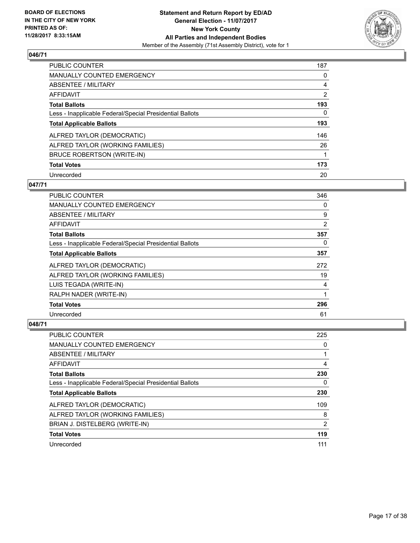

| <b>PUBLIC COUNTER</b>                                    | 187            |
|----------------------------------------------------------|----------------|
| <b>MANUALLY COUNTED EMERGENCY</b>                        | 0              |
| ABSENTEE / MILITARY                                      | 4              |
| AFFIDAVIT                                                | $\overline{2}$ |
| <b>Total Ballots</b>                                     | 193            |
| Less - Inapplicable Federal/Special Presidential Ballots | 0              |
| <b>Total Applicable Ballots</b>                          | 193            |
| ALFRED TAYLOR (DEMOCRATIC)                               | 146            |
| ALFRED TAYLOR (WORKING FAMILIES)                         | 26             |
| BRUCE ROBERTSON (WRITE-IN)                               |                |
| <b>Total Votes</b>                                       | 173            |
| Unrecorded                                               | 20             |

#### **047/71**

| <b>PUBLIC COUNTER</b>                                    | 346            |
|----------------------------------------------------------|----------------|
| <b>MANUALLY COUNTED EMERGENCY</b>                        | 0              |
| ABSENTEE / MILITARY                                      | 9              |
| <b>AFFIDAVIT</b>                                         | $\overline{2}$ |
| <b>Total Ballots</b>                                     | 357            |
| Less - Inapplicable Federal/Special Presidential Ballots | 0              |
| <b>Total Applicable Ballots</b>                          | 357            |
| ALFRED TAYLOR (DEMOCRATIC)                               | 272            |
| ALFRED TAYLOR (WORKING FAMILIES)                         | 19             |
| LUIS TEGADA (WRITE-IN)                                   | 4              |
| RALPH NADER (WRITE-IN)                                   |                |
| <b>Total Votes</b>                                       | 296            |
| Unrecorded                                               | 61             |

| <b>PUBLIC COUNTER</b>                                    | 225 |
|----------------------------------------------------------|-----|
| <b>MANUALLY COUNTED EMERGENCY</b>                        | 0   |
| ABSENTEE / MILITARY                                      |     |
| AFFIDAVIT                                                | 4   |
| <b>Total Ballots</b>                                     | 230 |
| Less - Inapplicable Federal/Special Presidential Ballots | 0   |
| <b>Total Applicable Ballots</b>                          | 230 |
| ALFRED TAYLOR (DEMOCRATIC)                               | 109 |
| ALFRED TAYLOR (WORKING FAMILIES)                         | 8   |
| BRIAN J. DISTELBERG (WRITE-IN)                           | 2   |
| <b>Total Votes</b>                                       | 119 |
| Unrecorded                                               | 111 |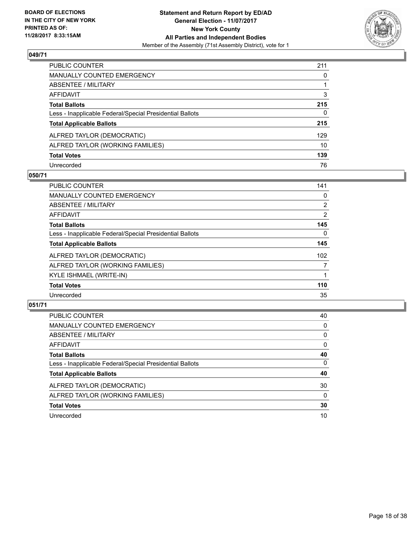

| PUBLIC COUNTER                                           | 211      |
|----------------------------------------------------------|----------|
| <b>MANUALLY COUNTED EMERGENCY</b>                        | $\Omega$ |
| <b>ABSENTEE / MILITARY</b>                               |          |
| <b>AFFIDAVIT</b>                                         | 3        |
| <b>Total Ballots</b>                                     | 215      |
| Less - Inapplicable Federal/Special Presidential Ballots | 0        |
| <b>Total Applicable Ballots</b>                          | 215      |
| ALFRED TAYLOR (DEMOCRATIC)                               | 129      |
| ALFRED TAYLOR (WORKING FAMILIES)                         | 10       |
| <b>Total Votes</b>                                       | 139      |
| Unrecorded                                               | 76       |

#### **050/71**

| <b>PUBLIC COUNTER</b>                                    | 141            |
|----------------------------------------------------------|----------------|
| MANUALLY COUNTED EMERGENCY                               | 0              |
| ABSENTEE / MILITARY                                      | $\overline{2}$ |
| <b>AFFIDAVIT</b>                                         | $\overline{2}$ |
| <b>Total Ballots</b>                                     | 145            |
| Less - Inapplicable Federal/Special Presidential Ballots | 0              |
| <b>Total Applicable Ballots</b>                          | 145            |
| ALFRED TAYLOR (DEMOCRATIC)                               | 102            |
| ALFRED TAYLOR (WORKING FAMILIES)                         | 7              |
| KYLE ISHMAEL (WRITE-IN)                                  |                |
| <b>Total Votes</b>                                       | 110            |
| Unrecorded                                               | 35             |

| <b>PUBLIC COUNTER</b>                                    | 40       |
|----------------------------------------------------------|----------|
| MANUALLY COUNTED EMERGENCY                               | 0        |
| ABSENTEE / MILITARY                                      | 0        |
| AFFIDAVIT                                                | 0        |
| <b>Total Ballots</b>                                     | 40       |
| Less - Inapplicable Federal/Special Presidential Ballots | 0        |
| <b>Total Applicable Ballots</b>                          | 40       |
| ALFRED TAYLOR (DEMOCRATIC)                               | 30       |
| ALFRED TAYLOR (WORKING FAMILIES)                         | $\Omega$ |
| <b>Total Votes</b>                                       | 30       |
| Unrecorded                                               | 10       |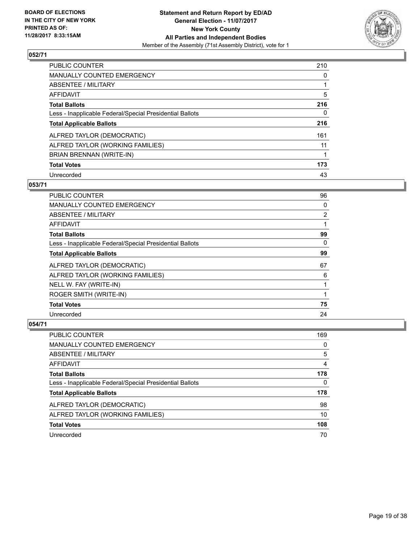

| PUBLIC COUNTER                                           | 210 |
|----------------------------------------------------------|-----|
| <b>MANUALLY COUNTED EMERGENCY</b>                        | 0   |
| ABSENTEE / MILITARY                                      |     |
| AFFIDAVIT                                                | 5   |
| <b>Total Ballots</b>                                     | 216 |
| Less - Inapplicable Federal/Special Presidential Ballots | 0   |
| <b>Total Applicable Ballots</b>                          | 216 |
| ALFRED TAYLOR (DEMOCRATIC)                               | 161 |
| ALFRED TAYLOR (WORKING FAMILIES)                         | 11  |
| BRIAN BRENNAN (WRITE-IN)                                 |     |
| <b>Total Votes</b>                                       | 173 |
| Unrecorded                                               | 43  |

#### **053/71**

| <b>PUBLIC COUNTER</b>                                    | 96             |
|----------------------------------------------------------|----------------|
| <b>MANUALLY COUNTED EMERGENCY</b>                        | 0              |
| ABSENTEE / MILITARY                                      | $\overline{2}$ |
| AFFIDAVIT                                                |                |
| <b>Total Ballots</b>                                     | 99             |
| Less - Inapplicable Federal/Special Presidential Ballots | 0              |
| <b>Total Applicable Ballots</b>                          | 99             |
| ALFRED TAYLOR (DEMOCRATIC)                               | 67             |
| ALFRED TAYLOR (WORKING FAMILIES)                         | 6              |
| NELL W. FAY (WRITE-IN)                                   |                |
| ROGER SMITH (WRITE-IN)                                   |                |
| <b>Total Votes</b>                                       | 75             |
| Unrecorded                                               | 24             |

| <b>PUBLIC COUNTER</b>                                    | 169 |
|----------------------------------------------------------|-----|
| MANUALLY COUNTED EMERGENCY                               | 0   |
| ABSENTEE / MILITARY                                      | 5   |
| AFFIDAVIT                                                | 4   |
| <b>Total Ballots</b>                                     | 178 |
| Less - Inapplicable Federal/Special Presidential Ballots | 0   |
| <b>Total Applicable Ballots</b>                          | 178 |
| ALFRED TAYLOR (DEMOCRATIC)                               | 98  |
| ALFRED TAYLOR (WORKING FAMILIES)                         | 10  |
| <b>Total Votes</b>                                       | 108 |
| Unrecorded                                               | 70  |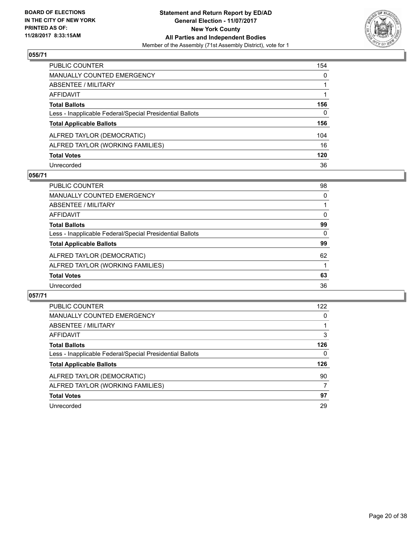

| PUBLIC COUNTER                                           | 154          |
|----------------------------------------------------------|--------------|
| <b>MANUALLY COUNTED EMERGENCY</b>                        | $\mathbf{0}$ |
| <b>ABSENTEE / MILITARY</b>                               |              |
| <b>AFFIDAVIT</b>                                         |              |
| <b>Total Ballots</b>                                     | 156          |
| Less - Inapplicable Federal/Special Presidential Ballots | $\mathbf{0}$ |
| <b>Total Applicable Ballots</b>                          | 156          |
| ALFRED TAYLOR (DEMOCRATIC)                               | 104          |
| ALFRED TAYLOR (WORKING FAMILIES)                         | 16           |
| <b>Total Votes</b>                                       | 120          |
| Unrecorded                                               | 36           |

#### **056/71**

| <b>PUBLIC COUNTER</b>                                    | 98 |
|----------------------------------------------------------|----|
| <b>MANUALLY COUNTED EMERGENCY</b>                        | 0  |
| ABSENTEE / MILITARY                                      |    |
| AFFIDAVIT                                                | 0  |
| <b>Total Ballots</b>                                     | 99 |
| Less - Inapplicable Federal/Special Presidential Ballots | 0  |
| <b>Total Applicable Ballots</b>                          | 99 |
| ALFRED TAYLOR (DEMOCRATIC)                               | 62 |
| ALFRED TAYLOR (WORKING FAMILIES)                         |    |
| <b>Total Votes</b>                                       | 63 |
| Unrecorded                                               | 36 |

| <b>PUBLIC COUNTER</b>                                    | 122 |
|----------------------------------------------------------|-----|
| <b>MANUALLY COUNTED EMERGENCY</b>                        | 0   |
| ABSENTEE / MILITARY                                      |     |
| AFFIDAVIT                                                | 3   |
| <b>Total Ballots</b>                                     | 126 |
| Less - Inapplicable Federal/Special Presidential Ballots | 0   |
| <b>Total Applicable Ballots</b>                          | 126 |
| ALFRED TAYLOR (DEMOCRATIC)                               | 90  |
| ALFRED TAYLOR (WORKING FAMILIES)                         | 7   |
| <b>Total Votes</b>                                       | 97  |
| Unrecorded                                               | 29  |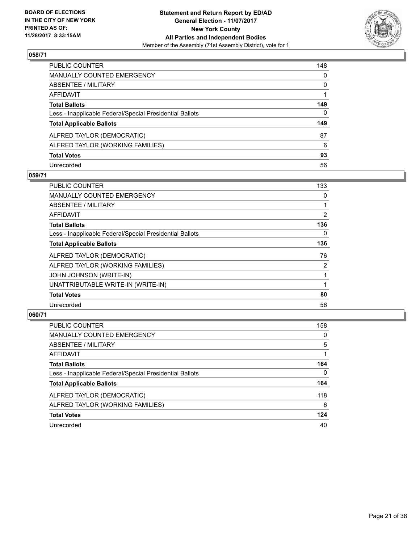

| PUBLIC COUNTER                                           | 148          |
|----------------------------------------------------------|--------------|
| MANUALLY COUNTED EMERGENCY                               | $\mathbf{0}$ |
| ABSENTEE / MILITARY                                      | $\mathbf{0}$ |
| AFFIDAVIT                                                |              |
| Total Ballots                                            | 149          |
| Less - Inapplicable Federal/Special Presidential Ballots | $\mathbf{0}$ |
| <b>Total Applicable Ballots</b>                          | 149          |
| ALFRED TAYLOR (DEMOCRATIC)                               | 87           |
| ALFRED TAYLOR (WORKING FAMILIES)                         | 6            |
| <b>Total Votes</b>                                       | 93           |
| Unrecorded                                               | 56           |

#### **059/71**

| <b>PUBLIC COUNTER</b>                                    | 133            |
|----------------------------------------------------------|----------------|
| <b>MANUALLY COUNTED EMERGENCY</b>                        | 0              |
| ABSENTEE / MILITARY                                      |                |
| <b>AFFIDAVIT</b>                                         | $\overline{2}$ |
| <b>Total Ballots</b>                                     | 136            |
| Less - Inapplicable Federal/Special Presidential Ballots | 0              |
| <b>Total Applicable Ballots</b>                          | 136            |
| ALFRED TAYLOR (DEMOCRATIC)                               | 76             |
| ALFRED TAYLOR (WORKING FAMILIES)                         | $\overline{2}$ |
| <b>JOHN JOHNSON (WRITE-IN)</b>                           | 1              |
| UNATTRIBUTABLE WRITE-IN (WRITE-IN)                       |                |
| <b>Total Votes</b>                                       | 80             |
| Unrecorded                                               | 56             |

| <b>PUBLIC COUNTER</b>                                    | 158 |
|----------------------------------------------------------|-----|
| <b>MANUALLY COUNTED EMERGENCY</b>                        | 0   |
| ABSENTEE / MILITARY                                      | 5   |
| AFFIDAVIT                                                |     |
| <b>Total Ballots</b>                                     | 164 |
| Less - Inapplicable Federal/Special Presidential Ballots | 0   |
| <b>Total Applicable Ballots</b>                          | 164 |
| ALFRED TAYLOR (DEMOCRATIC)                               | 118 |
| ALFRED TAYLOR (WORKING FAMILIES)                         | 6   |
| <b>Total Votes</b>                                       | 124 |
| Unrecorded                                               | 40  |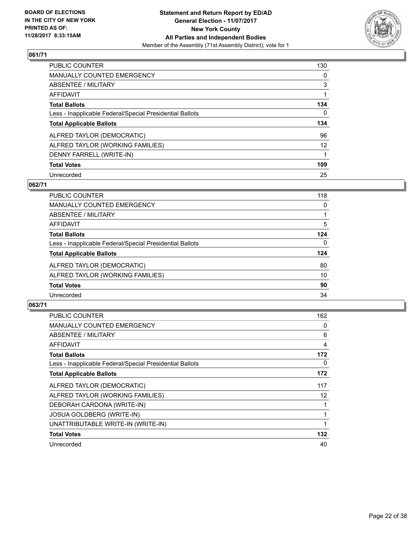

| <b>PUBLIC COUNTER</b>                                    | 130 |
|----------------------------------------------------------|-----|
| MANUALLY COUNTED EMERGENCY                               | 0   |
| ABSENTEE / MILITARY                                      | 3   |
| AFFIDAVIT                                                |     |
| <b>Total Ballots</b>                                     | 134 |
| Less - Inapplicable Federal/Special Presidential Ballots | 0   |
| <b>Total Applicable Ballots</b>                          | 134 |
|                                                          |     |
| ALFRED TAYLOR (DEMOCRATIC)                               | 96  |
| ALFRED TAYLOR (WORKING FAMILIES)                         | 12  |
| DENNY FARRELL (WRITE-IN)                                 |     |
| <b>Total Votes</b>                                       | 109 |

#### **062/71**

| <b>PUBLIC COUNTER</b>                                    | 118 |
|----------------------------------------------------------|-----|
| MANUALLY COUNTED EMERGENCY                               | 0   |
| ABSENTEE / MILITARY                                      |     |
| AFFIDAVIT                                                | 5   |
| <b>Total Ballots</b>                                     | 124 |
| Less - Inapplicable Federal/Special Presidential Ballots | 0   |
| <b>Total Applicable Ballots</b>                          | 124 |
| ALFRED TAYLOR (DEMOCRATIC)                               | 80  |
| ALFRED TAYLOR (WORKING FAMILIES)                         | 10  |
| <b>Total Votes</b>                                       | 90  |
| Unrecorded                                               | 34  |

| <b>PUBLIC COUNTER</b>                                    | 162 |
|----------------------------------------------------------|-----|
| <b>MANUALLY COUNTED EMERGENCY</b>                        | 0   |
| ABSENTEE / MILITARY                                      | 6   |
| AFFIDAVIT                                                | 4   |
| <b>Total Ballots</b>                                     | 172 |
| Less - Inapplicable Federal/Special Presidential Ballots | 0   |
| <b>Total Applicable Ballots</b>                          | 172 |
| ALFRED TAYLOR (DEMOCRATIC)                               | 117 |
| ALFRED TAYLOR (WORKING FAMILIES)                         | 12  |
| DEBORAH CARDONA (WRITE-IN)                               |     |
| <b>JOSUA GOLDBERG (WRITE-IN)</b>                         |     |
| UNATTRIBUTABLE WRITE-IN (WRITE-IN)                       |     |
| <b>Total Votes</b>                                       | 132 |
| Unrecorded                                               | 40  |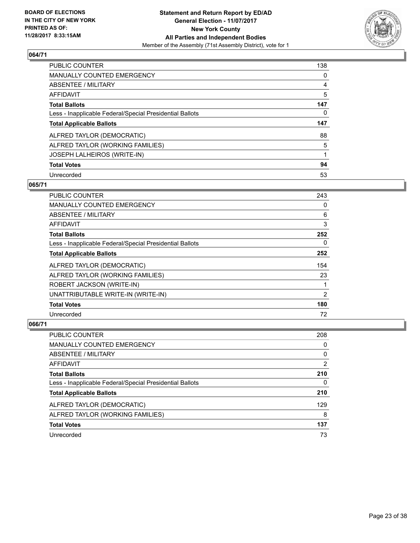

| PUBLIC COUNTER                                           | 138 |
|----------------------------------------------------------|-----|
| <b>MANUALLY COUNTED EMERGENCY</b>                        | 0   |
| ABSENTEE / MILITARY                                      | 4   |
| AFFIDAVIT                                                | 5   |
| <b>Total Ballots</b>                                     | 147 |
| Less - Inapplicable Federal/Special Presidential Ballots | 0   |
| <b>Total Applicable Ballots</b>                          | 147 |
|                                                          |     |
| ALFRED TAYLOR (DEMOCRATIC)                               | 88  |
| ALFRED TAYLOR (WORKING FAMILIES)                         | 5   |
| <b>JOSEPH LALHEIROS (WRITE-IN)</b>                       |     |
| <b>Total Votes</b>                                       | 94  |

#### **065/71**

| <b>PUBLIC COUNTER</b>                                    | 243 |
|----------------------------------------------------------|-----|
| <b>MANUALLY COUNTED EMERGENCY</b>                        | 0   |
| ABSENTEE / MILITARY                                      | 6   |
| <b>AFFIDAVIT</b>                                         | 3   |
| <b>Total Ballots</b>                                     | 252 |
| Less - Inapplicable Federal/Special Presidential Ballots | 0   |
| <b>Total Applicable Ballots</b>                          | 252 |
| ALFRED TAYLOR (DEMOCRATIC)                               | 154 |
| ALFRED TAYLOR (WORKING FAMILIES)                         | 23  |
| ROBERT JACKSON (WRITE-IN)                                |     |
| UNATTRIBUTABLE WRITE-IN (WRITE-IN)                       | 2   |
| <b>Total Votes</b>                                       | 180 |
| Unrecorded                                               | 72  |

| <b>PUBLIC COUNTER</b>                                    | 208 |
|----------------------------------------------------------|-----|
| <b>MANUALLY COUNTED EMERGENCY</b>                        | 0   |
| ABSENTEE / MILITARY                                      | 0   |
| AFFIDAVIT                                                | 2   |
| <b>Total Ballots</b>                                     | 210 |
| Less - Inapplicable Federal/Special Presidential Ballots | 0   |
| <b>Total Applicable Ballots</b>                          | 210 |
| ALFRED TAYLOR (DEMOCRATIC)                               | 129 |
| ALFRED TAYLOR (WORKING FAMILIES)                         | 8   |
| <b>Total Votes</b>                                       | 137 |
| Unrecorded                                               | 73  |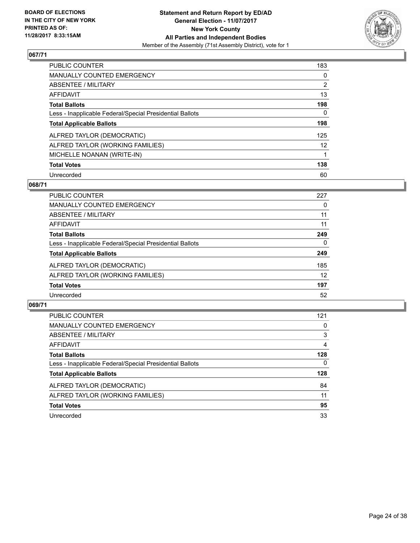

| <b>PUBLIC COUNTER</b>                                    | 183               |
|----------------------------------------------------------|-------------------|
| <b>MANUALLY COUNTED EMERGENCY</b>                        | 0                 |
| ABSENTEE / MILITARY                                      | $\overline{2}$    |
| AFFIDAVIT                                                | 13                |
| <b>Total Ballots</b>                                     | 198               |
| Less - Inapplicable Federal/Special Presidential Ballots | 0                 |
| <b>Total Applicable Ballots</b>                          | 198               |
| ALFRED TAYLOR (DEMOCRATIC)                               | 125               |
| ALFRED TAYLOR (WORKING FAMILIES)                         | $12 \overline{ }$ |
| MICHELLE NOANAN (WRITE-IN)                               |                   |
| <b>Total Votes</b>                                       | 138               |
| Unrecorded                                               | 60                |

#### **068/71**

| PUBLIC COUNTER                                           | 227 |
|----------------------------------------------------------|-----|
| <b>MANUALLY COUNTED EMERGENCY</b>                        | 0   |
| ABSENTEE / MILITARY                                      | 11  |
| AFFIDAVIT                                                | 11  |
| <b>Total Ballots</b>                                     | 249 |
| Less - Inapplicable Federal/Special Presidential Ballots | 0   |
| <b>Total Applicable Ballots</b>                          | 249 |
| ALFRED TAYLOR (DEMOCRATIC)                               | 185 |
| ALFRED TAYLOR (WORKING FAMILIES)                         | 12  |
| <b>Total Votes</b>                                       | 197 |
| Unrecorded                                               | 52  |

| <b>PUBLIC COUNTER</b>                                    | 121 |
|----------------------------------------------------------|-----|
| <b>MANUALLY COUNTED EMERGENCY</b>                        | 0   |
| ABSENTEE / MILITARY                                      | 3   |
| AFFIDAVIT                                                | 4   |
| <b>Total Ballots</b>                                     | 128 |
| Less - Inapplicable Federal/Special Presidential Ballots | 0   |
| <b>Total Applicable Ballots</b>                          | 128 |
| ALFRED TAYLOR (DEMOCRATIC)                               | 84  |
| ALFRED TAYLOR (WORKING FAMILIES)                         | 11  |
| <b>Total Votes</b>                                       | 95  |
| Unrecorded                                               | 33  |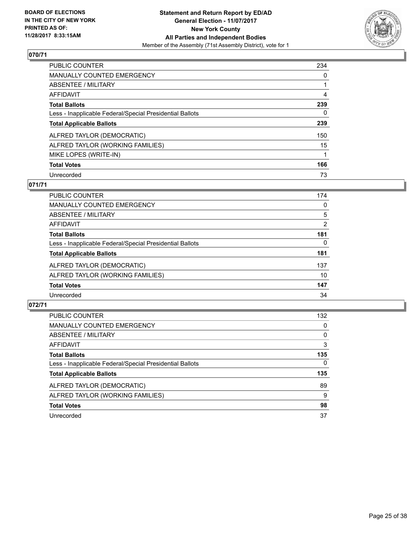

| <b>PUBLIC COUNTER</b>                                    | 234 |
|----------------------------------------------------------|-----|
| <b>MANUALLY COUNTED EMERGENCY</b>                        | 0   |
| ABSENTEE / MILITARY                                      |     |
| AFFIDAVIT                                                | 4   |
| <b>Total Ballots</b>                                     | 239 |
| Less - Inapplicable Federal/Special Presidential Ballots | 0   |
| <b>Total Applicable Ballots</b>                          | 239 |
| ALFRED TAYLOR (DEMOCRATIC)                               | 150 |
| ALFRED TAYLOR (WORKING FAMILIES)                         | 15  |
| MIKE LOPES (WRITE-IN)                                    |     |
| <b>Total Votes</b>                                       | 166 |
| Unrecorded                                               | 73  |

#### **071/71**

| <b>PUBLIC COUNTER</b>                                    | 174 |
|----------------------------------------------------------|-----|
| <b>MANUALLY COUNTED EMERGENCY</b>                        | 0   |
| ABSENTEE / MILITARY                                      | 5   |
| AFFIDAVIT                                                | 2   |
| <b>Total Ballots</b>                                     | 181 |
| Less - Inapplicable Federal/Special Presidential Ballots | 0   |
| <b>Total Applicable Ballots</b>                          | 181 |
| ALFRED TAYLOR (DEMOCRATIC)                               | 137 |
| ALFRED TAYLOR (WORKING FAMILIES)                         | 10  |
| <b>Total Votes</b>                                       | 147 |
| Unrecorded                                               | 34  |

| <b>PUBLIC COUNTER</b>                                    | 132 |
|----------------------------------------------------------|-----|
| MANUALLY COUNTED EMERGENCY                               | 0   |
| ABSENTEE / MILITARY                                      | 0   |
| AFFIDAVIT                                                | 3   |
| <b>Total Ballots</b>                                     | 135 |
| Less - Inapplicable Federal/Special Presidential Ballots | 0   |
| <b>Total Applicable Ballots</b>                          | 135 |
| ALFRED TAYLOR (DEMOCRATIC)                               | 89  |
| ALFRED TAYLOR (WORKING FAMILIES)                         | 9   |
| <b>Total Votes</b>                                       | 98  |
| Unrecorded                                               | 37  |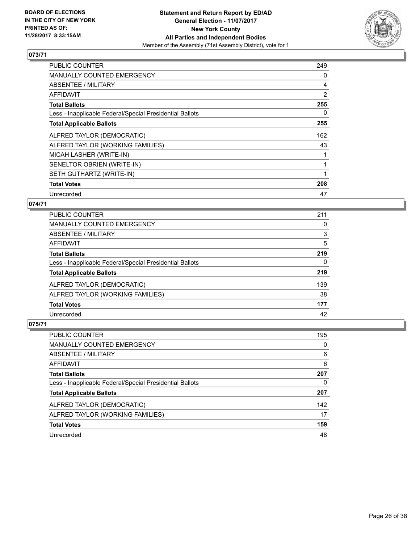

| <b>PUBLIC COUNTER</b>                                    | 249 |
|----------------------------------------------------------|-----|
| <b>MANUALLY COUNTED EMERGENCY</b>                        | 0   |
| <b>ABSENTEE / MILITARY</b>                               | 4   |
| AFFIDAVIT                                                | 2   |
| <b>Total Ballots</b>                                     | 255 |
| Less - Inapplicable Federal/Special Presidential Ballots | 0   |
| <b>Total Applicable Ballots</b>                          | 255 |
| ALFRED TAYLOR (DEMOCRATIC)                               | 162 |
| ALFRED TAYLOR (WORKING FAMILIES)                         | 43  |
| MICAH LASHER (WRITE-IN)                                  |     |
| SENELTOR OBRIEN (WRITE-IN)                               |     |
| SETH GUTHARTZ (WRITE-IN)                                 |     |
| <b>Total Votes</b>                                       | 208 |
| Unrecorded                                               | 47  |

#### **074/71**

| <b>PUBLIC COUNTER</b>                                    | 211 |
|----------------------------------------------------------|-----|
| MANUALLY COUNTED EMERGENCY                               | 0   |
| ABSENTEE / MILITARY                                      | 3   |
| AFFIDAVIT                                                | 5   |
| <b>Total Ballots</b>                                     | 219 |
| Less - Inapplicable Federal/Special Presidential Ballots | 0   |
| <b>Total Applicable Ballots</b>                          | 219 |
| ALFRED TAYLOR (DEMOCRATIC)                               | 139 |
| ALFRED TAYLOR (WORKING FAMILIES)                         | 38  |
| <b>Total Votes</b>                                       | 177 |
| Unrecorded                                               | 42  |

| <b>PUBLIC COUNTER</b>                                    | 195 |
|----------------------------------------------------------|-----|
| MANUALLY COUNTED EMERGENCY                               | 0   |
| ABSENTEE / MILITARY                                      | 6   |
| AFFIDAVIT                                                | 6   |
| <b>Total Ballots</b>                                     | 207 |
| Less - Inapplicable Federal/Special Presidential Ballots | 0   |
| <b>Total Applicable Ballots</b>                          | 207 |
| ALFRED TAYLOR (DEMOCRATIC)                               | 142 |
| ALFRED TAYLOR (WORKING FAMILIES)                         | 17  |
| <b>Total Votes</b>                                       | 159 |
| Unrecorded                                               | 48  |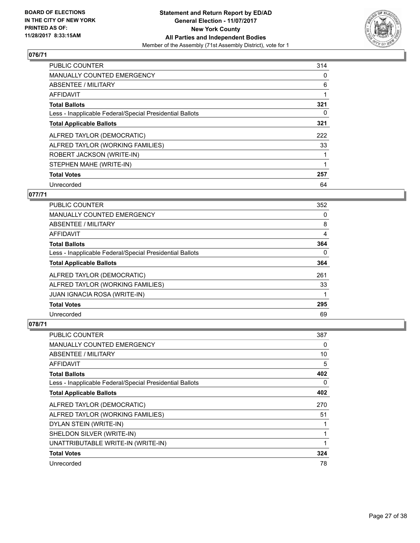

| <b>PUBLIC COUNTER</b>                                    | 314 |
|----------------------------------------------------------|-----|
| <b>MANUALLY COUNTED EMERGENCY</b>                        | 0   |
| ABSENTEE / MILITARY                                      | 6   |
| <b>AFFIDAVIT</b>                                         |     |
| <b>Total Ballots</b>                                     | 321 |
| Less - Inapplicable Federal/Special Presidential Ballots | 0   |
| <b>Total Applicable Ballots</b>                          | 321 |
| ALFRED TAYLOR (DEMOCRATIC)                               | 222 |
| ALFRED TAYLOR (WORKING FAMILIES)                         | 33  |
| ROBERT JACKSON (WRITE-IN)                                |     |
| STEPHEN MAHE (WRITE-IN)                                  |     |
| <b>Total Votes</b>                                       | 257 |
| Unrecorded                                               | 64  |

## **077/71**

| <b>PUBLIC COUNTER</b>                                    | 352 |
|----------------------------------------------------------|-----|
| <b>MANUALLY COUNTED EMERGENCY</b>                        | 0   |
| ABSENTEE / MILITARY                                      | 8   |
| <b>AFFIDAVIT</b>                                         | 4   |
| <b>Total Ballots</b>                                     | 364 |
| Less - Inapplicable Federal/Special Presidential Ballots | 0   |
| <b>Total Applicable Ballots</b>                          | 364 |
| ALFRED TAYLOR (DEMOCRATIC)                               | 261 |
| ALFRED TAYLOR (WORKING FAMILIES)                         | 33  |
| <b>JUAN IGNACIA ROSA (WRITE-IN)</b>                      |     |
| <b>Total Votes</b>                                       | 295 |
| Unrecorded                                               | 69  |

| PUBLIC COUNTER                                           | 387 |
|----------------------------------------------------------|-----|
| MANUALLY COUNTED EMERGENCY                               | 0   |
| ABSENTEE / MILITARY                                      | 10  |
| AFFIDAVIT                                                | 5   |
| <b>Total Ballots</b>                                     | 402 |
| Less - Inapplicable Federal/Special Presidential Ballots | 0   |
| <b>Total Applicable Ballots</b>                          | 402 |
| ALFRED TAYLOR (DEMOCRATIC)                               | 270 |
| ALFRED TAYLOR (WORKING FAMILIES)                         | 51  |
| DYLAN STEIN (WRITE-IN)                                   |     |
| SHELDON SILVER (WRITE-IN)                                | 1   |
| UNATTRIBUTABLE WRITE-IN (WRITE-IN)                       |     |
| <b>Total Votes</b>                                       | 324 |
| Unrecorded                                               | 78  |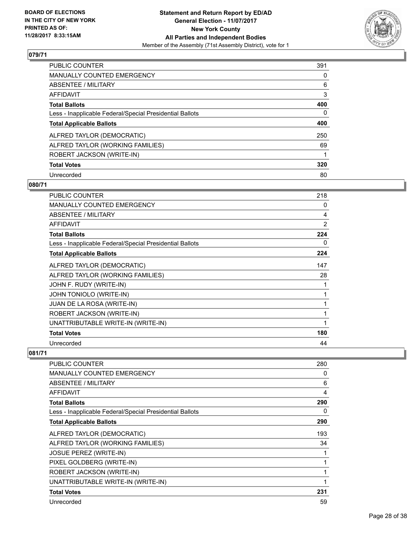

| <b>PUBLIC COUNTER</b>                                    | 391 |
|----------------------------------------------------------|-----|
| <b>MANUALLY COUNTED EMERGENCY</b>                        | 0   |
| ABSENTEE / MILITARY                                      | 6   |
| AFFIDAVIT                                                | 3   |
| <b>Total Ballots</b>                                     | 400 |
| Less - Inapplicable Federal/Special Presidential Ballots | 0   |
| <b>Total Applicable Ballots</b>                          | 400 |
| ALFRED TAYLOR (DEMOCRATIC)                               | 250 |
| ALFRED TAYLOR (WORKING FAMILIES)                         | 69  |
| ROBERT JACKSON (WRITE-IN)                                |     |
| <b>Total Votes</b>                                       | 320 |
| Unrecorded                                               | 80  |

#### **080/71**

| <b>PUBLIC COUNTER</b>                                    | 218 |
|----------------------------------------------------------|-----|
| MANUALLY COUNTED EMERGENCY                               | 0   |
| ABSENTEE / MILITARY                                      | 4   |
| <b>AFFIDAVIT</b>                                         | 2   |
| <b>Total Ballots</b>                                     | 224 |
| Less - Inapplicable Federal/Special Presidential Ballots | 0   |
| <b>Total Applicable Ballots</b>                          | 224 |
| ALFRED TAYLOR (DEMOCRATIC)                               | 147 |
| ALFRED TAYLOR (WORKING FAMILIES)                         | 28  |
| JOHN F. RUDY (WRITE-IN)                                  | 1   |
| JOHN TONIOLO (WRITE-IN)                                  | 1   |
| JUAN DE LA ROSA (WRITE-IN)                               | 1   |
| ROBERT JACKSON (WRITE-IN)                                | 1   |
| UNATTRIBUTABLE WRITE-IN (WRITE-IN)                       |     |
| <b>Total Votes</b>                                       | 180 |
| Unrecorded                                               | 44  |

| PUBLIC COUNTER                                           | 280 |
|----------------------------------------------------------|-----|
| MANUALLY COUNTED EMERGENCY                               | 0   |
| <b>ABSENTEE / MILITARY</b>                               | 6   |
| AFFIDAVIT                                                | 4   |
| <b>Total Ballots</b>                                     | 290 |
| Less - Inapplicable Federal/Special Presidential Ballots | 0   |
| <b>Total Applicable Ballots</b>                          | 290 |
| ALFRED TAYLOR (DEMOCRATIC)                               | 193 |
| ALFRED TAYLOR (WORKING FAMILIES)                         | 34  |
| <b>JOSUE PEREZ (WRITE-IN)</b>                            |     |
| PIXEL GOLDBERG (WRITE-IN)                                |     |
| ROBERT JACKSON (WRITE-IN)                                |     |
| UNATTRIBUTABLE WRITE-IN (WRITE-IN)                       |     |
| <b>Total Votes</b>                                       | 231 |
| Unrecorded                                               | 59  |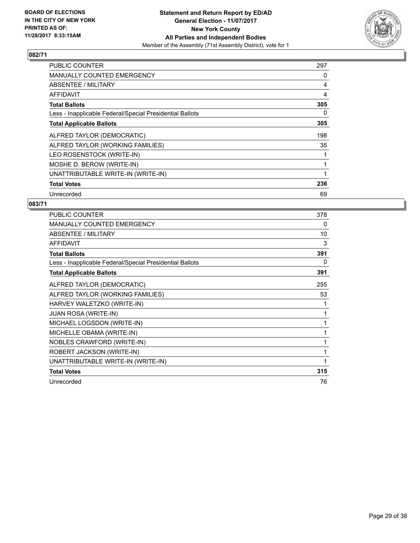

| <b>PUBLIC COUNTER</b>                                    | 297 |
|----------------------------------------------------------|-----|
| <b>MANUALLY COUNTED EMERGENCY</b>                        | 0   |
| ABSENTEE / MILITARY                                      | 4   |
| AFFIDAVIT                                                | 4   |
| <b>Total Ballots</b>                                     | 305 |
| Less - Inapplicable Federal/Special Presidential Ballots | 0   |
| <b>Total Applicable Ballots</b>                          | 305 |
| ALFRED TAYLOR (DEMOCRATIC)                               | 198 |
| ALFRED TAYLOR (WORKING FAMILIES)                         | 35  |
| LEO ROSENSTOCK (WRITE-IN)                                |     |
| MOSHE D. BEROW (WRITE-IN)                                |     |
| UNATTRIBUTABLE WRITE-IN (WRITE-IN)                       |     |
| <b>Total Votes</b>                                       | 236 |
| Unrecorded                                               | 69  |

| PUBLIC COUNTER                                           | 378 |
|----------------------------------------------------------|-----|
| <b>MANUALLY COUNTED EMERGENCY</b>                        | 0   |
| ABSENTEE / MILITARY                                      | 10  |
| <b>AFFIDAVIT</b>                                         | 3   |
| <b>Total Ballots</b>                                     | 391 |
| Less - Inapplicable Federal/Special Presidential Ballots | 0   |
| <b>Total Applicable Ballots</b>                          | 391 |
| ALFRED TAYLOR (DEMOCRATIC)                               | 255 |
| ALFRED TAYLOR (WORKING FAMILIES)                         | 53  |
| HARVEY WALETZKO (WRITE-IN)                               | 1   |
| <b>JUAN ROSA (WRITE-IN)</b>                              | 1   |
| MICHAEL LOGSDON (WRITE-IN)                               | 1   |
| MICHELLE OBAMA (WRITE-IN)                                | 1   |
| NOBLES CRAWFORD (WRITE-IN)                               | 1   |
| ROBERT JACKSON (WRITE-IN)                                | 1   |
| UNATTRIBUTABLE WRITE-IN (WRITE-IN)                       | 1   |
| <b>Total Votes</b>                                       | 315 |
| Unrecorded                                               | 76  |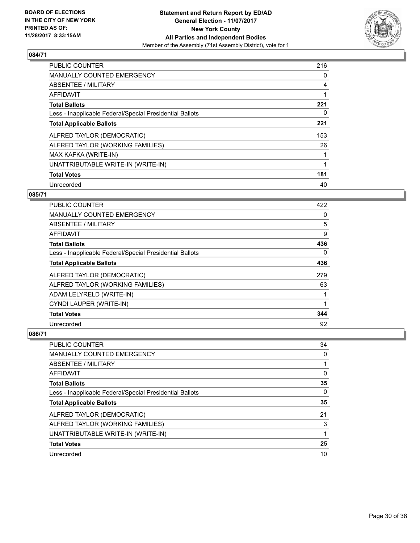

| <b>PUBLIC COUNTER</b>                                    | 216 |
|----------------------------------------------------------|-----|
| <b>MANUALLY COUNTED EMERGENCY</b>                        | 0   |
| ABSENTEE / MILITARY                                      | 4   |
| AFFIDAVIT                                                |     |
| <b>Total Ballots</b>                                     | 221 |
| Less - Inapplicable Federal/Special Presidential Ballots | 0   |
| <b>Total Applicable Ballots</b>                          | 221 |
| ALFRED TAYLOR (DEMOCRATIC)                               | 153 |
| ALFRED TAYLOR (WORKING FAMILIES)                         | 26  |
| MAX KAFKA (WRITE-IN)                                     |     |
| UNATTRIBUTABLE WRITE-IN (WRITE-IN)                       |     |
| <b>Total Votes</b>                                       | 181 |
| Unrecorded                                               | 40  |

#### **085/71**

| <b>PUBLIC COUNTER</b>                                    | 422 |
|----------------------------------------------------------|-----|
| <b>MANUALLY COUNTED EMERGENCY</b>                        | 0   |
| ABSENTEE / MILITARY                                      | 5   |
| AFFIDAVIT                                                | 9   |
| <b>Total Ballots</b>                                     | 436 |
| Less - Inapplicable Federal/Special Presidential Ballots | 0   |
| <b>Total Applicable Ballots</b>                          | 436 |
| ALFRED TAYLOR (DEMOCRATIC)                               | 279 |
| ALFRED TAYLOR (WORKING FAMILIES)                         | 63  |
| ADAM LELYRELD (WRITE-IN)                                 |     |
| CYNDI LAUPER (WRITE-IN)                                  | 1   |
| <b>Total Votes</b>                                       | 344 |
| Unrecorded                                               | 92  |

| <b>PUBLIC COUNTER</b>                                    | 34 |
|----------------------------------------------------------|----|
| MANUALLY COUNTED EMERGENCY                               | 0  |
| ABSENTEE / MILITARY                                      |    |
| AFFIDAVIT                                                | 0  |
| <b>Total Ballots</b>                                     | 35 |
| Less - Inapplicable Federal/Special Presidential Ballots | 0  |
| <b>Total Applicable Ballots</b>                          | 35 |
| ALFRED TAYLOR (DEMOCRATIC)                               | 21 |
| ALFRED TAYLOR (WORKING FAMILIES)                         | 3  |
| UNATTRIBUTABLE WRITE-IN (WRITE-IN)                       |    |
| <b>Total Votes</b>                                       | 25 |
| Unrecorded                                               | 10 |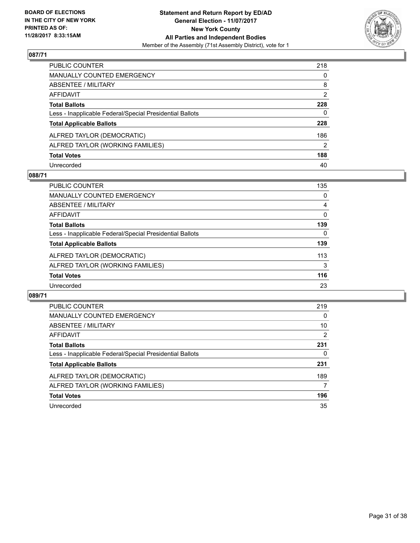

| PUBLIC COUNTER                                           | 218 |
|----------------------------------------------------------|-----|
| MANUALLY COUNTED EMERGENCY                               | 0   |
| <b>ABSENTEE / MILITARY</b>                               | 8   |
| AFFIDAVIT                                                | 2   |
| Total Ballots                                            | 228 |
| Less - Inapplicable Federal/Special Presidential Ballots | 0   |
| <b>Total Applicable Ballots</b>                          | 228 |
| ALFRED TAYLOR (DEMOCRATIC)                               | 186 |
| ALFRED TAYLOR (WORKING FAMILIES)                         | 2   |
| <b>Total Votes</b>                                       | 188 |
| Unrecorded                                               | 40  |

#### **088/71**

| <b>PUBLIC COUNTER</b>                                    | 135      |
|----------------------------------------------------------|----------|
| <b>MANUALLY COUNTED EMERGENCY</b>                        | 0        |
| ABSENTEE / MILITARY                                      | 4        |
| AFFIDAVIT                                                | $\Omega$ |
| <b>Total Ballots</b>                                     | 139      |
| Less - Inapplicable Federal/Special Presidential Ballots | 0        |
| <b>Total Applicable Ballots</b>                          | 139      |
| ALFRED TAYLOR (DEMOCRATIC)                               | 113      |
| ALFRED TAYLOR (WORKING FAMILIES)                         | 3        |
| <b>Total Votes</b>                                       | 116      |
| Unrecorded                                               | 23       |

| <b>PUBLIC COUNTER</b>                                    | 219 |
|----------------------------------------------------------|-----|
| MANUALLY COUNTED EMERGENCY                               | 0   |
| ABSENTEE / MILITARY                                      | 10  |
| AFFIDAVIT                                                | 2   |
| <b>Total Ballots</b>                                     | 231 |
| Less - Inapplicable Federal/Special Presidential Ballots | 0   |
| <b>Total Applicable Ballots</b>                          | 231 |
| ALFRED TAYLOR (DEMOCRATIC)                               | 189 |
| ALFRED TAYLOR (WORKING FAMILIES)                         | 7   |
| <b>Total Votes</b>                                       | 196 |
| Unrecorded                                               | 35  |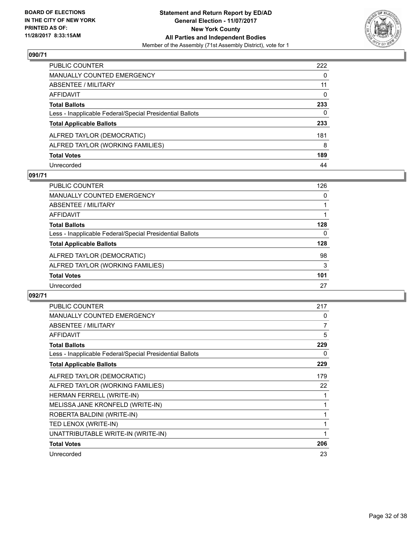

| PUBLIC COUNTER                                           | 222          |
|----------------------------------------------------------|--------------|
| <b>MANUALLY COUNTED EMERGENCY</b>                        | $\mathbf{0}$ |
| <b>ABSENTEE / MILITARY</b>                               | 11           |
| AFFIDAVIT                                                | $\mathbf{0}$ |
| <b>Total Ballots</b>                                     | 233          |
| Less - Inapplicable Federal/Special Presidential Ballots | 0            |
| <b>Total Applicable Ballots</b>                          | 233          |
| ALFRED TAYLOR (DEMOCRATIC)                               | 181          |
| ALFRED TAYLOR (WORKING FAMILIES)                         | 8            |
| <b>Total Votes</b>                                       | 189          |
| Unrecorded                                               | 44           |

#### **091/71**

| <b>PUBLIC COUNTER</b>                                    | 126 |
|----------------------------------------------------------|-----|
| <b>MANUALLY COUNTED EMERGENCY</b>                        | 0   |
| ABSENTEE / MILITARY                                      |     |
| AFFIDAVIT                                                |     |
| <b>Total Ballots</b>                                     | 128 |
| Less - Inapplicable Federal/Special Presidential Ballots | 0   |
| <b>Total Applicable Ballots</b>                          | 128 |
| ALFRED TAYLOR (DEMOCRATIC)                               | 98  |
| ALFRED TAYLOR (WORKING FAMILIES)                         | 3   |
| <b>Total Votes</b>                                       | 101 |
| Unrecorded                                               | 27  |

| <b>PUBLIC COUNTER</b>                                    | 217 |
|----------------------------------------------------------|-----|
| MANUALLY COUNTED EMERGENCY                               | 0   |
| ABSENTEE / MILITARY                                      | 7   |
| <b>AFFIDAVIT</b>                                         | 5   |
| <b>Total Ballots</b>                                     | 229 |
| Less - Inapplicable Federal/Special Presidential Ballots | 0   |
| <b>Total Applicable Ballots</b>                          | 229 |
| ALFRED TAYLOR (DEMOCRATIC)                               | 179 |
| ALFRED TAYLOR (WORKING FAMILIES)                         | 22  |
| HERMAN FERRELL (WRITE-IN)                                | 1   |
| MELISSA JANE KRONFELD (WRITE-IN)                         | 1   |
| ROBERTA BALDINI (WRITE-IN)                               | 1   |
| TED LENOX (WRITE-IN)                                     | 1   |
| UNATTRIBUTABLE WRITE-IN (WRITE-IN)                       | 1   |
| <b>Total Votes</b>                                       | 206 |
| Unrecorded                                               | 23  |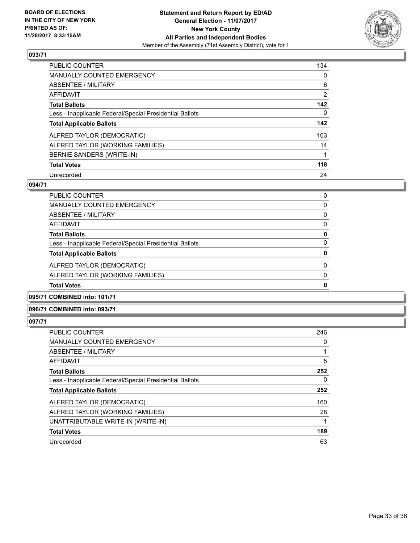

| <b>PUBLIC COUNTER</b>                                    | 134            |
|----------------------------------------------------------|----------------|
| <b>MANUALLY COUNTED EMERGENCY</b>                        | 0              |
| ABSENTEE / MILITARY                                      | 6              |
| <b>AFFIDAVIT</b>                                         | $\overline{2}$ |
| <b>Total Ballots</b>                                     | 142            |
| Less - Inapplicable Federal/Special Presidential Ballots | 0              |
| <b>Total Applicable Ballots</b>                          | 142            |
| ALFRED TAYLOR (DEMOCRATIC)                               | 103            |
| ALFRED TAYLOR (WORKING FAMILIES)                         | 14             |
| BERNIE SANDERS (WRITE-IN)                                |                |
| <b>Total Votes</b>                                       | 118            |
| Unrecorded                                               | 24             |

#### **094/71**

| <b>Total Votes</b>                                       | 0        |
|----------------------------------------------------------|----------|
| ALFRED TAYLOR (WORKING FAMILIES)                         | 0        |
| ALFRED TAYLOR (DEMOCRATIC)                               | $\Omega$ |
| <b>Total Applicable Ballots</b>                          | 0        |
| Less - Inapplicable Federal/Special Presidential Ballots | 0        |
| <b>Total Ballots</b>                                     | 0        |
| AFFIDAVIT                                                | 0        |
| ABSENTEE / MILITARY                                      | $\Omega$ |
| <b>MANUALLY COUNTED EMERGENCY</b>                        | 0        |
| <b>PUBLIC COUNTER</b>                                    | 0        |

#### **095/71 COMBINED into: 101/71**

#### **096/71 COMBINED into: 093/71**

| <b>PUBLIC COUNTER</b>                                    | 246 |
|----------------------------------------------------------|-----|
| <b>MANUALLY COUNTED EMERGENCY</b>                        | 0   |
| ABSENTEE / MILITARY                                      |     |
| <b>AFFIDAVIT</b>                                         | 5   |
| <b>Total Ballots</b>                                     | 252 |
| Less - Inapplicable Federal/Special Presidential Ballots | 0   |
| <b>Total Applicable Ballots</b>                          | 252 |
| ALFRED TAYLOR (DEMOCRATIC)                               | 160 |
| ALFRED TAYLOR (WORKING FAMILIES)                         | 28  |
| UNATTRIBUTABLE WRITE-IN (WRITE-IN)                       |     |
| <b>Total Votes</b>                                       | 189 |
| Unrecorded                                               | 63  |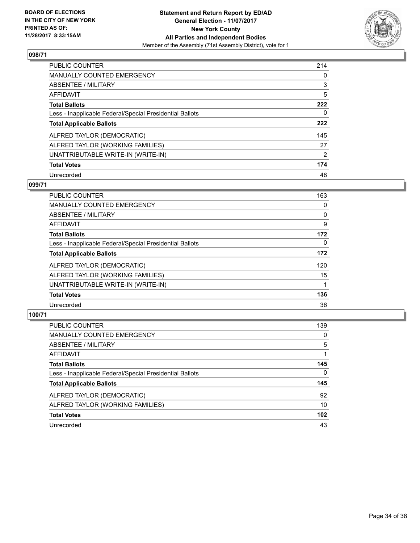

| <b>PUBLIC COUNTER</b>                                    | 214 |
|----------------------------------------------------------|-----|
| <b>MANUALLY COUNTED EMERGENCY</b>                        | 0   |
| ABSENTEE / MILITARY                                      | 3   |
| AFFIDAVIT                                                | 5   |
| <b>Total Ballots</b>                                     | 222 |
| Less - Inapplicable Federal/Special Presidential Ballots | 0   |
| <b>Total Applicable Ballots</b>                          | 222 |
| ALFRED TAYLOR (DEMOCRATIC)                               | 145 |
| ALFRED TAYLOR (WORKING FAMILIES)                         | 27  |
| UNATTRIBUTABLE WRITE-IN (WRITE-IN)                       | 2   |
| <b>Total Votes</b>                                       | 174 |
| Unrecorded                                               | 48  |

#### **099/71**

| <b>PUBLIC COUNTER</b>                                    | 163      |
|----------------------------------------------------------|----------|
| <b>MANUALLY COUNTED EMERGENCY</b>                        | 0        |
| ABSENTEE / MILITARY                                      | 0        |
| <b>AFFIDAVIT</b>                                         | 9        |
| <b>Total Ballots</b>                                     | 172      |
| Less - Inapplicable Federal/Special Presidential Ballots | $\Omega$ |
| <b>Total Applicable Ballots</b>                          | 172      |
| ALFRED TAYLOR (DEMOCRATIC)                               | 120      |
| ALFRED TAYLOR (WORKING FAMILIES)                         | 15       |
| UNATTRIBUTABLE WRITE-IN (WRITE-IN)                       |          |
| <b>Total Votes</b>                                       | 136      |
| Unrecorded                                               | 36       |

| <b>PUBLIC COUNTER</b>                                    | 139 |
|----------------------------------------------------------|-----|
| MANUALLY COUNTED EMERGENCY                               | 0   |
| ABSENTEE / MILITARY                                      | 5   |
| AFFIDAVIT                                                |     |
| <b>Total Ballots</b>                                     | 145 |
| Less - Inapplicable Federal/Special Presidential Ballots | 0   |
| <b>Total Applicable Ballots</b>                          | 145 |
| ALFRED TAYLOR (DEMOCRATIC)                               | 92  |
| ALFRED TAYLOR (WORKING FAMILIES)                         | 10  |
| <b>Total Votes</b>                                       | 102 |
| Unrecorded                                               | 43  |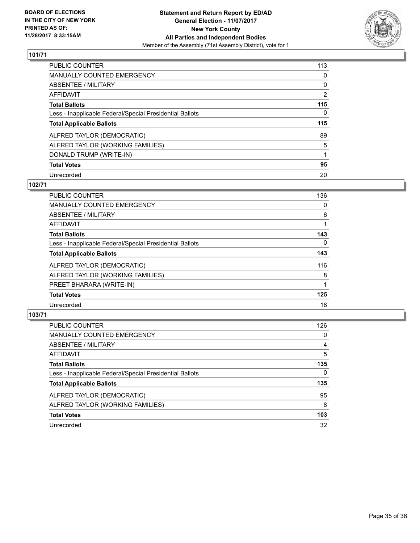

| PUBLIC COUNTER                                           | 113 |
|----------------------------------------------------------|-----|
| <b>MANUALLY COUNTED EMERGENCY</b>                        | 0   |
| ABSENTEE / MILITARY                                      | 0   |
| AFFIDAVIT                                                | 2   |
| <b>Total Ballots</b>                                     | 115 |
| Less - Inapplicable Federal/Special Presidential Ballots | 0   |
| <b>Total Applicable Ballots</b>                          | 115 |
| ALFRED TAYLOR (DEMOCRATIC)                               | 89  |
| ALFRED TAYLOR (WORKING FAMILIES)                         | 5   |
| DONALD TRUMP (WRITE-IN)                                  |     |
| <b>Total Votes</b>                                       |     |
|                                                          | 95  |

#### **102/71**

| <b>PUBLIC COUNTER</b>                                    | 136      |
|----------------------------------------------------------|----------|
| <b>MANUALLY COUNTED EMERGENCY</b>                        | 0        |
| ABSENTEE / MILITARY                                      | 6        |
| <b>AFFIDAVIT</b>                                         |          |
| <b>Total Ballots</b>                                     | 143      |
| Less - Inapplicable Federal/Special Presidential Ballots | $\Omega$ |
| <b>Total Applicable Ballots</b>                          | 143      |
| ALFRED TAYLOR (DEMOCRATIC)                               | 116      |
| ALFRED TAYLOR (WORKING FAMILIES)                         | 8        |
| PREET BHARARA (WRITE-IN)                                 |          |
| <b>Total Votes</b>                                       | 125      |
| Unrecorded                                               | 18       |

| <b>PUBLIC COUNTER</b>                                    | 126 |
|----------------------------------------------------------|-----|
| <b>MANUALLY COUNTED EMERGENCY</b>                        | 0   |
| ABSENTEE / MILITARY                                      | 4   |
| AFFIDAVIT                                                | 5   |
| <b>Total Ballots</b>                                     | 135 |
| Less - Inapplicable Federal/Special Presidential Ballots | 0   |
| <b>Total Applicable Ballots</b>                          | 135 |
| ALFRED TAYLOR (DEMOCRATIC)                               | 95  |
| ALFRED TAYLOR (WORKING FAMILIES)                         | 8   |
| <b>Total Votes</b>                                       | 103 |
| Unrecorded                                               | 32  |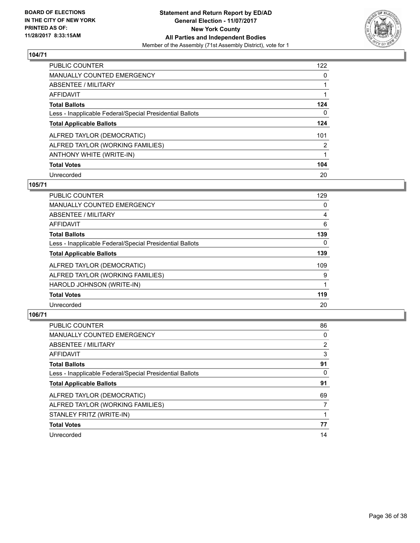

| <b>PUBLIC COUNTER</b>                                    | 122 |
|----------------------------------------------------------|-----|
| <b>MANUALLY COUNTED EMERGENCY</b>                        | 0   |
| ABSENTEE / MILITARY                                      |     |
| <b>AFFIDAVIT</b>                                         |     |
| <b>Total Ballots</b>                                     | 124 |
| Less - Inapplicable Federal/Special Presidential Ballots | 0   |
| <b>Total Applicable Ballots</b>                          | 124 |
| ALFRED TAYLOR (DEMOCRATIC)                               | 101 |
| ALFRED TAYLOR (WORKING FAMILIES)                         | 2   |
| ANTHONY WHITE (WRITE-IN)                                 |     |
| <b>Total Votes</b>                                       | 104 |
| Unrecorded                                               | 20  |

#### **105/71**

| <b>PUBLIC COUNTER</b>                                    | 129      |
|----------------------------------------------------------|----------|
| <b>MANUALLY COUNTED EMERGENCY</b>                        | 0        |
| ABSENTEE / MILITARY                                      | 4        |
| AFFIDAVIT                                                | 6        |
| <b>Total Ballots</b>                                     | 139      |
| Less - Inapplicable Federal/Special Presidential Ballots | $\Omega$ |
| <b>Total Applicable Ballots</b>                          | 139      |
| ALFRED TAYLOR (DEMOCRATIC)                               | 109      |
| ALFRED TAYLOR (WORKING FAMILIES)                         | 9        |
| HAROLD JOHNSON (WRITE-IN)                                |          |
| <b>Total Votes</b>                                       | 119      |
| Unrecorded                                               | 20       |

| <b>PUBLIC COUNTER</b>                                    | 86 |
|----------------------------------------------------------|----|
| <b>MANUALLY COUNTED EMERGENCY</b>                        | 0  |
| ABSENTEE / MILITARY                                      | 2  |
| <b>AFFIDAVIT</b>                                         | 3  |
| <b>Total Ballots</b>                                     | 91 |
| Less - Inapplicable Federal/Special Presidential Ballots | 0  |
| <b>Total Applicable Ballots</b>                          | 91 |
| ALFRED TAYLOR (DEMOCRATIC)                               | 69 |
| ALFRED TAYLOR (WORKING FAMILIES)                         | 7  |
| STANLEY FRITZ (WRITE-IN)                                 |    |
| <b>Total Votes</b>                                       | 77 |
| Unrecorded                                               | 14 |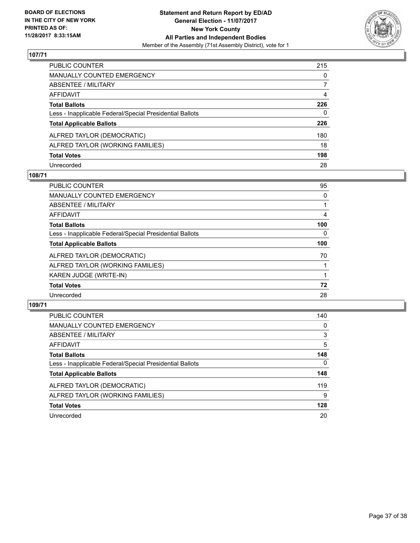

| PUBLIC COUNTER                                           | 215          |
|----------------------------------------------------------|--------------|
| <b>MANUALLY COUNTED EMERGENCY</b>                        | $\mathbf{0}$ |
| <b>ABSENTEE / MILITARY</b>                               | 7            |
| AFFIDAVIT                                                | 4            |
| <b>Total Ballots</b>                                     | 226          |
| Less - Inapplicable Federal/Special Presidential Ballots | 0            |
| <b>Total Applicable Ballots</b>                          | 226          |
| ALFRED TAYLOR (DEMOCRATIC)                               | 180          |
| ALFRED TAYLOR (WORKING FAMILIES)                         | 18           |
| <b>Total Votes</b>                                       | 198          |
| Unrecorded                                               | 28           |

#### **108/71**

| <b>PUBLIC COUNTER</b>                                    | 95       |
|----------------------------------------------------------|----------|
| MANUALLY COUNTED EMERGENCY                               | 0        |
| ABSENTEE / MILITARY                                      |          |
| <b>AFFIDAVIT</b>                                         | 4        |
| <b>Total Ballots</b>                                     | 100      |
| Less - Inapplicable Federal/Special Presidential Ballots | $\Omega$ |
| <b>Total Applicable Ballots</b>                          | 100      |
| ALFRED TAYLOR (DEMOCRATIC)                               | 70       |
| ALFRED TAYLOR (WORKING FAMILIES)                         |          |
| KAREN JUDGE (WRITE-IN)                                   |          |
| <b>Total Votes</b>                                       | 72       |
| Unrecorded                                               | 28       |

| <b>PUBLIC COUNTER</b>                                    | 140 |
|----------------------------------------------------------|-----|
| MANUALLY COUNTED EMERGENCY                               | 0   |
| ABSENTEE / MILITARY                                      | 3   |
| AFFIDAVIT                                                | 5   |
| <b>Total Ballots</b>                                     | 148 |
| Less - Inapplicable Federal/Special Presidential Ballots | 0   |
| <b>Total Applicable Ballots</b>                          | 148 |
| ALFRED TAYLOR (DEMOCRATIC)                               | 119 |
| ALFRED TAYLOR (WORKING FAMILIES)                         | 9   |
| <b>Total Votes</b>                                       | 128 |
| Unrecorded                                               | 20  |